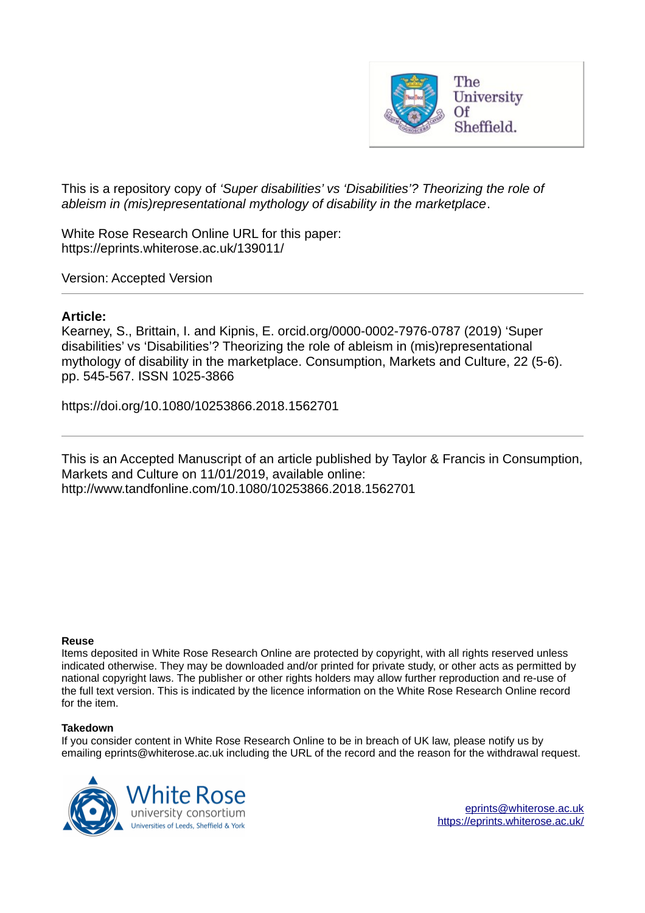

This is a repository copy of *'Super disabilities' vs 'Disabilities'? Theorizing the role of ableism in (mis)representational mythology of disability in the marketplace*.

White Rose Research Online URL for this paper: https://eprints.whiterose.ac.uk/139011/

Version: Accepted Version

# **Article:**

Kearney, S., Brittain, I. and Kipnis, E. orcid.org/0000-0002-7976-0787 (2019) 'Super disabilities' vs 'Disabilities'? Theorizing the role of ableism in (mis)representational mythology of disability in the marketplace. Consumption, Markets and Culture, 22 (5-6). pp. 545-567. ISSN 1025-3866

https://doi.org/10.1080/10253866.2018.1562701

This is an Accepted Manuscript of an article published by Taylor & Francis in Consumption, Markets and Culture on 11/01/2019, available online: http://www.tandfonline.com/10.1080/10253866.2018.1562701

# **Reuse**

Items deposited in White Rose Research Online are protected by copyright, with all rights reserved unless indicated otherwise. They may be downloaded and/or printed for private study, or other acts as permitted by national copyright laws. The publisher or other rights holders may allow further reproduction and re-use of the full text version. This is indicated by the licence information on the White Rose Research Online record for the item.

# **Takedown**

If you consider content in White Rose Research Online to be in breach of UK law, please notify us by emailing eprints@whiterose.ac.uk including the URL of the record and the reason for the withdrawal request.



eprints@whiterose.ac.uk https://eprints.whiterose.ac.uk/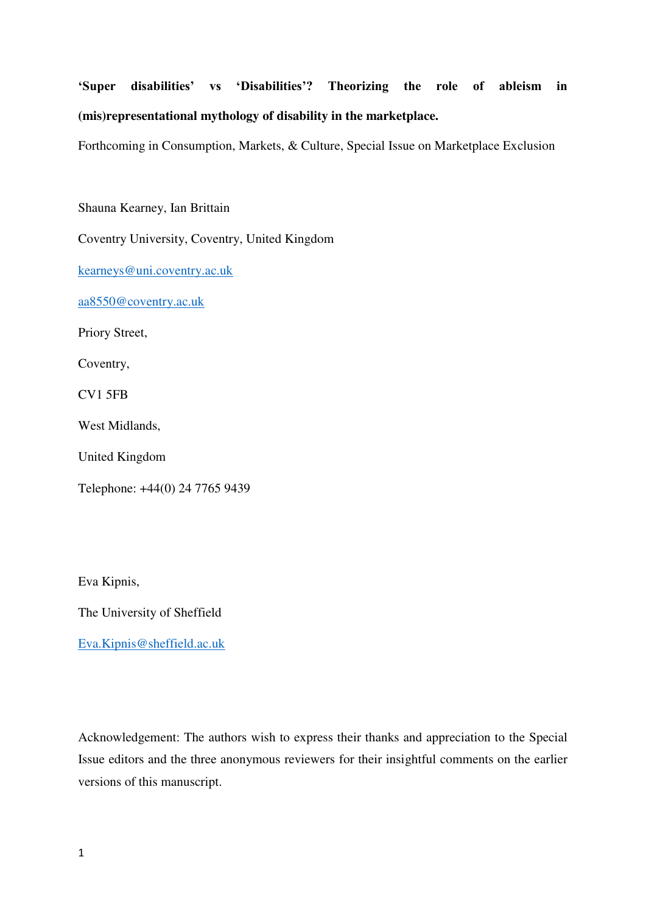# **'Super disabilities' vs 'Disabilities'? Theorizing the role of ableism in (mis)representational mythology of disability in the marketplace.**

Forthcoming in Consumption, Markets, & Culture, Special Issue on Marketplace Exclusion

Shauna Kearney, Ian Brittain

Coventry University, Coventry, United Kingdom

[kearneys@uni.coventry.ac.uk](mailto:kearneys@uni.coventry.ac.uk)

[aa8550@coventry.ac.uk](mailto:aa8550@coventry.ac.uk)

Priory Street,

Coventry,

CV1 5FB

West Midlands,

United Kingdom

Telephone: +44(0) 24 7765 9439

Eva Kipnis,

The University of Sheffield

[Eva.Kipnis@sheffield.ac.uk](mailto:Eva.Kipnis@sheffield.ac.uk)

Acknowledgement: The authors wish to express their thanks and appreciation to the Special Issue editors and the three anonymous reviewers for their insightful comments on the earlier versions of this manuscript.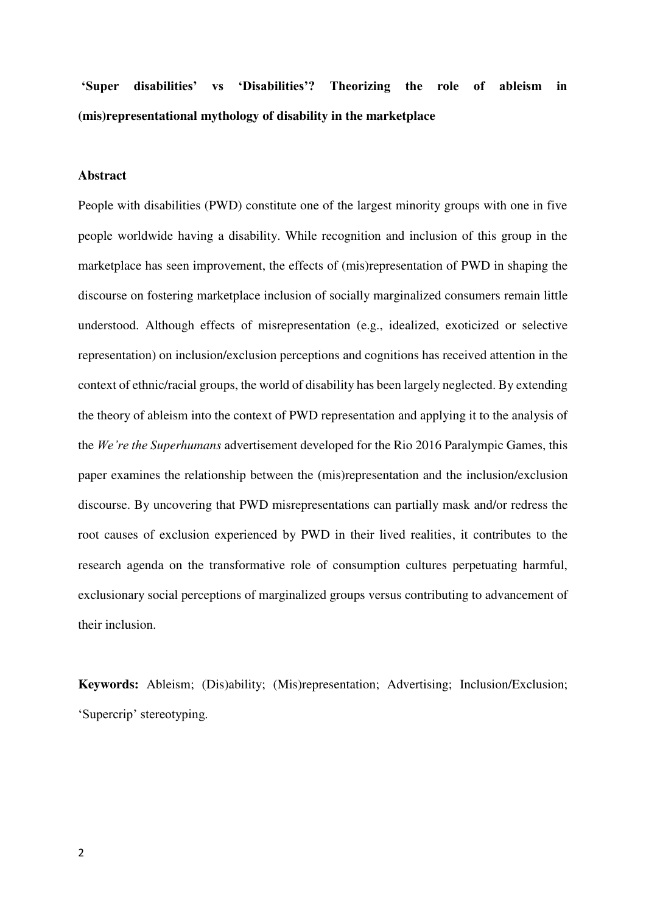# **'Super disabilities' vs 'Disabilities'? Theorizing the role of ableism in (mis)representational mythology of disability in the marketplace**

# **Abstract**

People with disabilities (PWD) constitute one of the largest minority groups with one in five people worldwide having a disability. While recognition and inclusion of this group in the marketplace has seen improvement, the effects of (mis)representation of PWD in shaping the discourse on fostering marketplace inclusion of socially marginalized consumers remain little understood. Although effects of misrepresentation (e.g., idealized, exoticized or selective representation) on inclusion/exclusion perceptions and cognitions has received attention in the context of ethnic/racial groups, the world of disability has been largely neglected. By extending the theory of ableism into the context of PWD representation and applying it to the analysis of the *We're the Superhumans* advertisement developed for the Rio 2016 Paralympic Games, this paper examines the relationship between the (mis)representation and the inclusion/exclusion discourse. By uncovering that PWD misrepresentations can partially mask and/or redress the root causes of exclusion experienced by PWD in their lived realities, it contributes to the research agenda on the transformative role of consumption cultures perpetuating harmful, exclusionary social perceptions of marginalized groups versus contributing to advancement of their inclusion.

**Keywords:** Ableism; (Dis)ability; (Mis)representation; Advertising; Inclusion/Exclusion; 'Supercrip' stereotyping.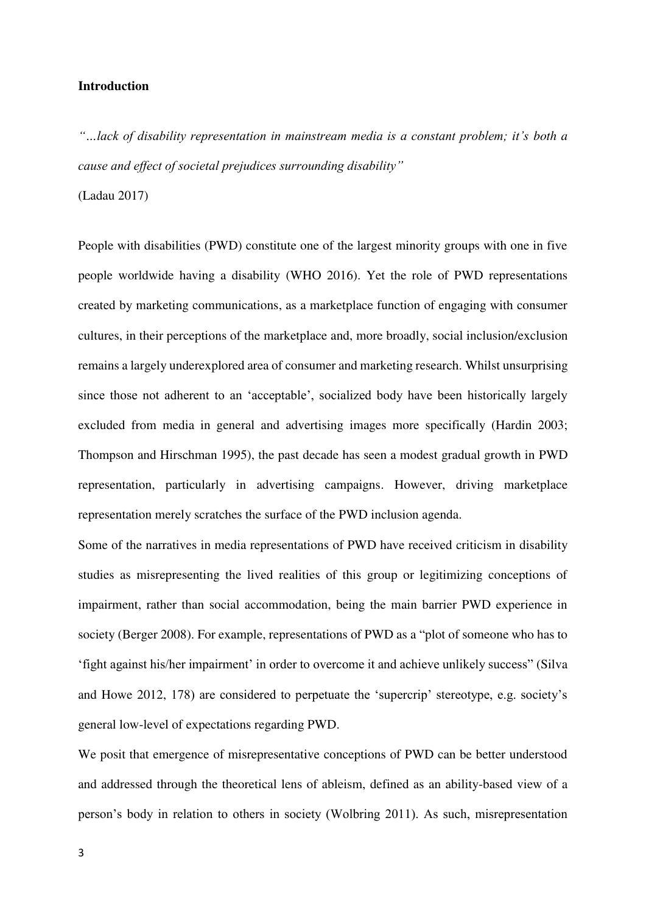# **Introduction**

*"…lack of disability representation in mainstream media is a constant problem; it's both a cause and effect of societal prejudices surrounding disability"*

(Ladau 2017)

People with disabilities (PWD) constitute one of the largest minority groups with one in five people worldwide having a disability (WHO 2016). Yet the role of PWD representations created by marketing communications, as a marketplace function of engaging with consumer cultures, in their perceptions of the marketplace and, more broadly, social inclusion/exclusion remains a largely underexplored area of consumer and marketing research. Whilst unsurprising since those not adherent to an 'acceptable', socialized body have been historically largely excluded from media in general and advertising images more specifically (Hardin 2003; Thompson and Hirschman 1995), the past decade has seen a modest gradual growth in PWD representation, particularly in advertising campaigns. However, driving marketplace representation merely scratches the surface of the PWD inclusion agenda.

Some of the narratives in media representations of PWD have received criticism in disability studies as misrepresenting the lived realities of this group or legitimizing conceptions of impairment, rather than social accommodation, being the main barrier PWD experience in society (Berger 2008). For example, representations of PWD as a "plot of someone who has to 'fight against his/her impairment' in order to overcome it and achieve unlikely success" (Silva and Howe 2012, 178) are considered to perpetuate the 'supercrip' stereotype, e.g. society's general low-level of expectations regarding PWD.

We posit that emergence of misrepresentative conceptions of PWD can be better understood and addressed through the theoretical lens of ableism, defined as an ability-based view of a person's body in relation to others in society (Wolbring 2011). As such, misrepresentation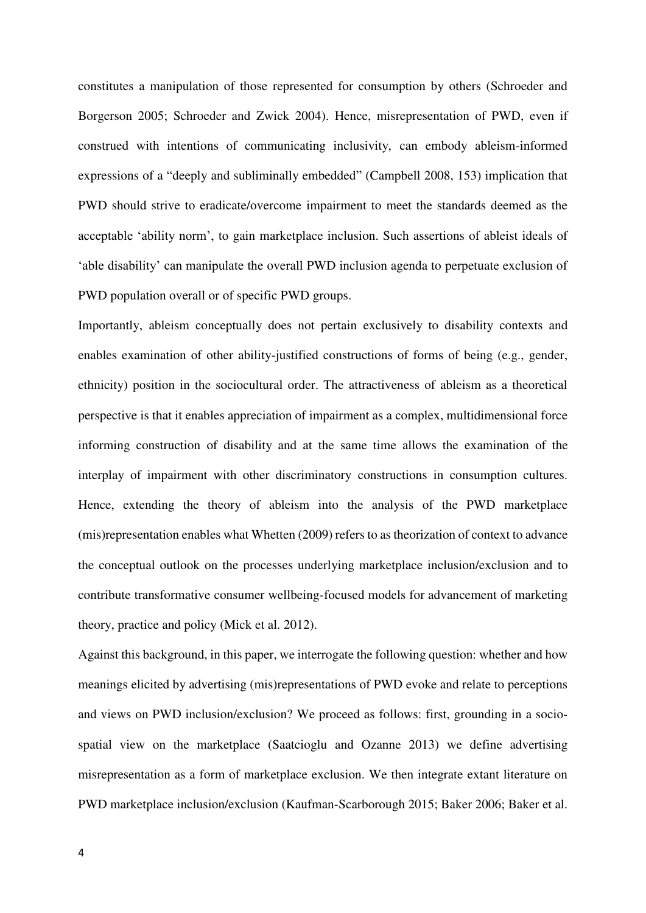constitutes a manipulation of those represented for consumption by others (Schroeder and Borgerson 2005; Schroeder and Zwick 2004). Hence, misrepresentation of PWD, even if construed with intentions of communicating inclusivity, can embody ableism-informed expressions of a "deeply and subliminally embedded" (Campbell 2008, 153) implication that PWD should strive to eradicate/overcome impairment to meet the standards deemed as the acceptable 'ability norm', to gain marketplace inclusion. Such assertions of ableist ideals of 'able disability' can manipulate the overall PWD inclusion agenda to perpetuate exclusion of PWD population overall or of specific PWD groups.

Importantly, ableism conceptually does not pertain exclusively to disability contexts and enables examination of other ability-justified constructions of forms of being (e.g., gender, ethnicity) position in the sociocultural order. The attractiveness of ableism as a theoretical perspective is that it enables appreciation of impairment as a complex, multidimensional force informing construction of disability and at the same time allows the examination of the interplay of impairment with other discriminatory constructions in consumption cultures. Hence, extending the theory of ableism into the analysis of the PWD marketplace (mis)representation enables what Whetten (2009) refers to as theorization of context to advance the conceptual outlook on the processes underlying marketplace inclusion/exclusion and to contribute transformative consumer wellbeing-focused models for advancement of marketing theory, practice and policy (Mick et al. 2012).

Against this background, in this paper, we interrogate the following question: whether and how meanings elicited by advertising (mis)representations of PWD evoke and relate to perceptions and views on PWD inclusion/exclusion? We proceed as follows: first, grounding in a sociospatial view on the marketplace (Saatcioglu and Ozanne 2013) we define advertising misrepresentation as a form of marketplace exclusion. We then integrate extant literature on PWD marketplace inclusion/exclusion (Kaufman-Scarborough 2015; Baker 2006; Baker et al.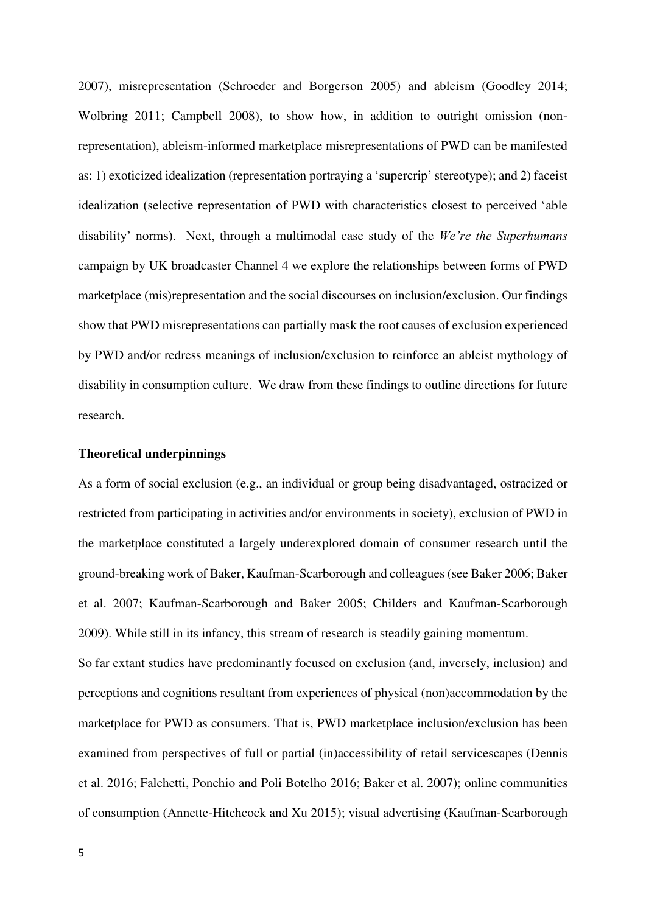2007), misrepresentation (Schroeder and Borgerson 2005) and ableism (Goodley 2014; Wolbring 2011; Campbell 2008), to show how, in addition to outright omission (nonrepresentation), ableism-informed marketplace misrepresentations of PWD can be manifested as: 1) exoticized idealization (representation portraying a 'supercrip' stereotype); and 2) faceist idealization (selective representation of PWD with characteristics closest to perceived 'able disability' norms). Next, through a multimodal case study of the *We're the Superhumans* campaign by UK broadcaster Channel 4 we explore the relationships between forms of PWD marketplace (mis)representation and the social discourses on inclusion/exclusion. Our findings show that PWD misrepresentations can partially mask the root causes of exclusion experienced by PWD and/or redress meanings of inclusion/exclusion to reinforce an ableist mythology of disability in consumption culture. We draw from these findings to outline directions for future research.

#### **Theoretical underpinnings**

As a form of social exclusion (e.g., an individual or group being disadvantaged, ostracized or restricted from participating in activities and/or environments in society), exclusion of PWD in the marketplace constituted a largely underexplored domain of consumer research until the ground-breaking work of Baker, Kaufman-Scarborough and colleagues (see Baker 2006; Baker et al. 2007; Kaufman-Scarborough and Baker 2005; Childers and Kaufman-Scarborough 2009). While still in its infancy, this stream of research is steadily gaining momentum.

So far extant studies have predominantly focused on exclusion (and, inversely, inclusion) and perceptions and cognitions resultant from experiences of physical (non)accommodation by the marketplace for PWD as consumers. That is, PWD marketplace inclusion/exclusion has been examined from perspectives of full or partial (in)accessibility of retail servicescapes (Dennis et al. 2016; Falchetti, Ponchio and Poli Botelho 2016; Baker et al. 2007); online communities of consumption (Annette-Hitchcock and Xu 2015); visual advertising (Kaufman-Scarborough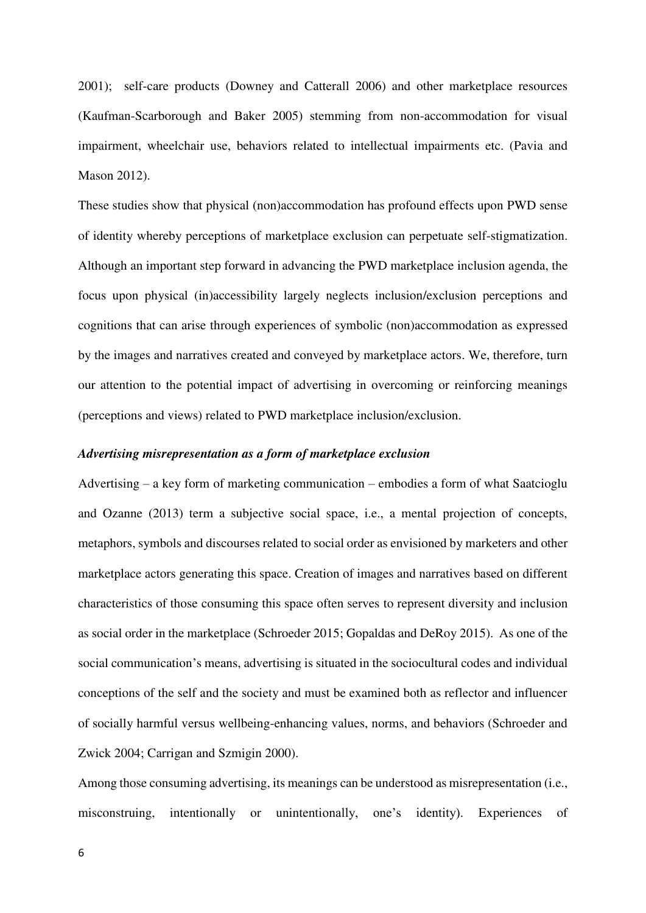2001); self-care products (Downey and Catterall 2006) and other marketplace resources (Kaufman-Scarborough and Baker 2005) stemming from non-accommodation for visual impairment, wheelchair use, behaviors related to intellectual impairments etc. (Pavia and Mason 2012).

These studies show that physical (non)accommodation has profound effects upon PWD sense of identity whereby perceptions of marketplace exclusion can perpetuate self-stigmatization. Although an important step forward in advancing the PWD marketplace inclusion agenda, the focus upon physical (in)accessibility largely neglects inclusion/exclusion perceptions and cognitions that can arise through experiences of symbolic (non)accommodation as expressed by the images and narratives created and conveyed by marketplace actors. We, therefore, turn our attention to the potential impact of advertising in overcoming or reinforcing meanings (perceptions and views) related to PWD marketplace inclusion/exclusion.

# *Advertising misrepresentation as a form of marketplace exclusion*

Advertising – a key form of marketing communication – embodies a form of what Saatcioglu and Ozanne (2013) term a subjective social space, i.e., a mental projection of concepts, metaphors, symbols and discourses related to social order as envisioned by marketers and other marketplace actors generating this space. Creation of images and narratives based on different characteristics of those consuming this space often serves to represent diversity and inclusion as social order in the marketplace (Schroeder 2015; Gopaldas and DeRoy 2015). As one of the social communication's means, advertising is situated in the sociocultural codes and individual conceptions of the self and the society and must be examined both as reflector and influencer of socially harmful versus wellbeing-enhancing values, norms, and behaviors (Schroeder and Zwick 2004; Carrigan and Szmigin 2000).

Among those consuming advertising, its meanings can be understood as misrepresentation (i.e., misconstruing, intentionally or unintentionally, one's identity). Experiences of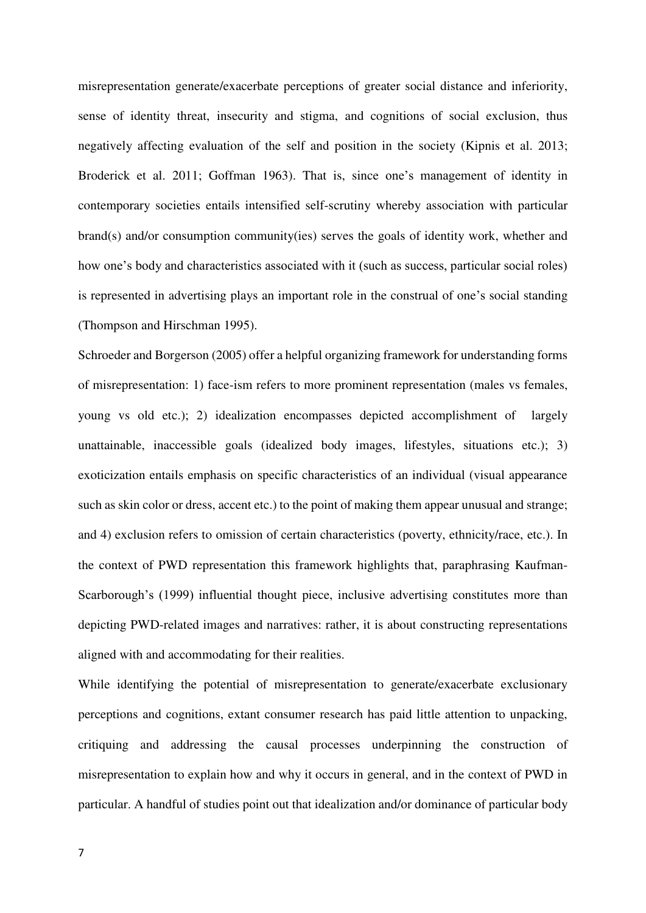misrepresentation generate/exacerbate perceptions of greater social distance and inferiority, sense of identity threat, insecurity and stigma, and cognitions of social exclusion, thus negatively affecting evaluation of the self and position in the society (Kipnis et al. 2013; Broderick et al. 2011; Goffman 1963). That is, since one's management of identity in contemporary societies entails intensified self-scrutiny whereby association with particular brand(s) and/or consumption community(ies) serves the goals of identity work, whether and how one's body and characteristics associated with it (such as success, particular social roles) is represented in advertising plays an important role in the construal of one's social standing (Thompson and Hirschman 1995).

Schroeder and Borgerson (2005) offer a helpful organizing framework for understanding forms of misrepresentation: 1) face-ism refers to more prominent representation (males vs females, young vs old etc.); 2) idealization encompasses depicted accomplishment of largely unattainable, inaccessible goals (idealized body images, lifestyles, situations etc.); 3) exoticization entails emphasis on specific characteristics of an individual (visual appearance such as skin color or dress, accent etc.) to the point of making them appear unusual and strange; and 4) exclusion refers to omission of certain characteristics (poverty, ethnicity/race, etc.). In the context of PWD representation this framework highlights that, paraphrasing Kaufman-Scarborough's (1999) influential thought piece, inclusive advertising constitutes more than depicting PWD-related images and narratives: rather, it is about constructing representations aligned with and accommodating for their realities.

While identifying the potential of misrepresentation to generate/exacerbate exclusionary perceptions and cognitions, extant consumer research has paid little attention to unpacking, critiquing and addressing the causal processes underpinning the construction of misrepresentation to explain how and why it occurs in general, and in the context of PWD in particular. A handful of studies point out that idealization and/or dominance of particular body

7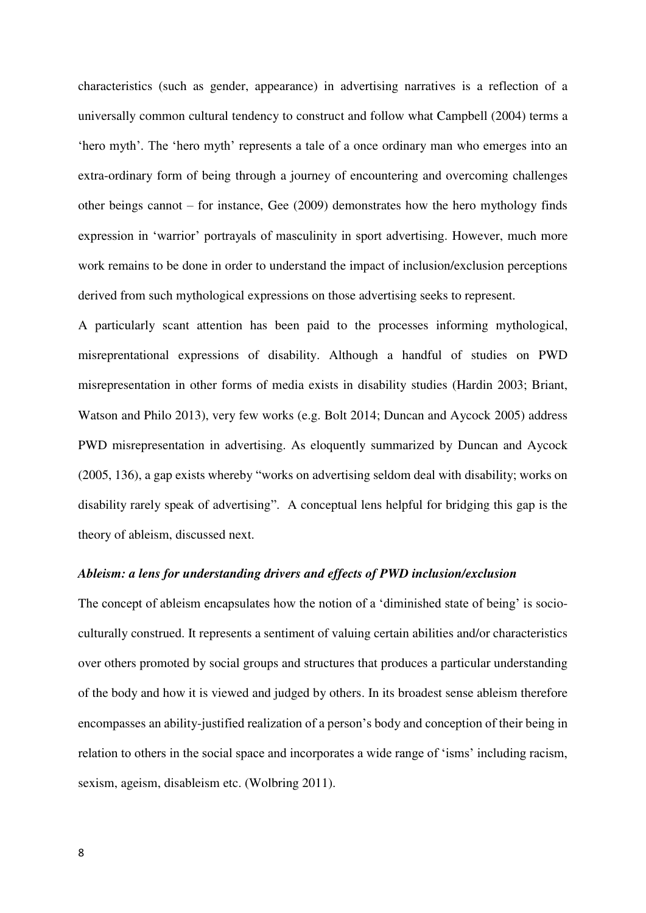characteristics (such as gender, appearance) in advertising narratives is a reflection of a universally common cultural tendency to construct and follow what Campbell (2004) terms a 'hero myth'. The 'hero myth' represents a tale of a once ordinary man who emerges into an extra-ordinary form of being through a journey of encountering and overcoming challenges other beings cannot – for instance, Gee (2009) demonstrates how the hero mythology finds expression in 'warrior' portrayals of masculinity in sport advertising. However, much more work remains to be done in order to understand the impact of inclusion/exclusion perceptions derived from such mythological expressions on those advertising seeks to represent.

A particularly scant attention has been paid to the processes informing mythological, misreprentational expressions of disability. Although a handful of studies on PWD misrepresentation in other forms of media exists in disability studies (Hardin 2003; Briant, Watson and Philo 2013), very few works (e.g. Bolt 2014; Duncan and Aycock 2005) address PWD misrepresentation in advertising. As eloquently summarized by Duncan and Aycock (2005, 136), a gap exists whereby "works on advertising seldom deal with disability; works on disability rarely speak of advertising". A conceptual lens helpful for bridging this gap is the theory of ableism, discussed next.

#### *Ableism: a lens for understanding drivers and effects of PWD inclusion/exclusion*

The concept of ableism encapsulates how the notion of a 'diminished state of being' is socioculturally construed. It represents a sentiment of valuing certain abilities and/or characteristics over others promoted by social groups and structures that produces a particular understanding of the body and how it is viewed and judged by others. In its broadest sense ableism therefore encompasses an ability-justified realization of a person's body and conception of their being in relation to others in the social space and incorporates a wide range of 'isms' including racism, sexism, ageism, disableism etc. (Wolbring 2011).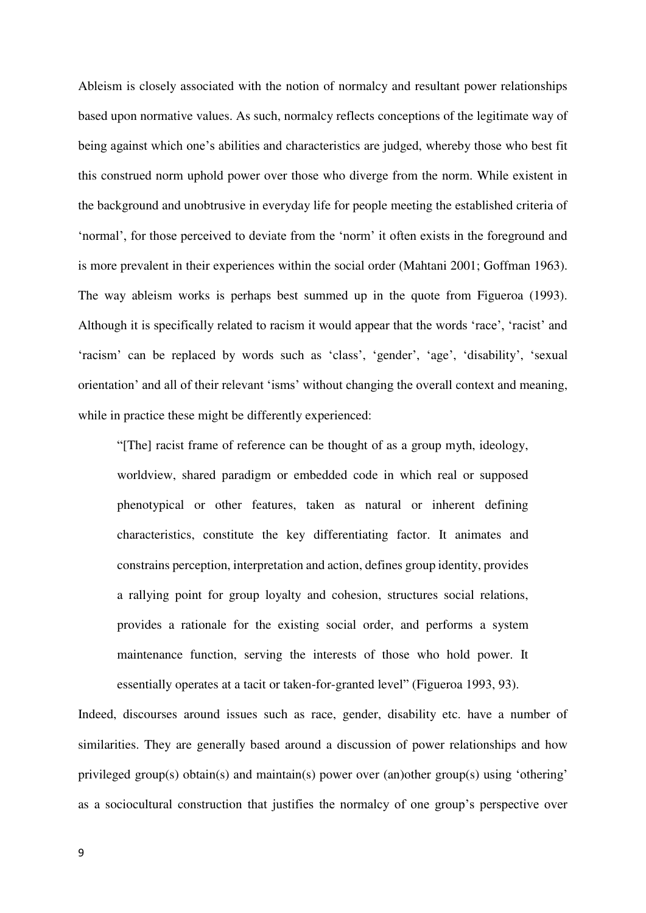Ableism is closely associated with the notion of normalcy and resultant power relationships based upon normative values. As such, normalcy reflects conceptions of the legitimate way of being against which one's abilities and characteristics are judged, whereby those who best fit this construed norm uphold power over those who diverge from the norm. While existent in the background and unobtrusive in everyday life for people meeting the established criteria of 'normal', for those perceived to deviate from the 'norm' it often exists in the foreground and is more prevalent in their experiences within the social order (Mahtani 2001; Goffman 1963). The way ableism works is perhaps best summed up in the quote from Figueroa (1993). Although it is specifically related to racism it would appear that the words 'race', 'racist' and 'racism' can be replaced by words such as 'class', 'gender', 'age', 'disability', 'sexual orientation' and all of their relevant 'isms' without changing the overall context and meaning, while in practice these might be differently experienced:

"[The] racist frame of reference can be thought of as a group myth, ideology, worldview, shared paradigm or embedded code in which real or supposed phenotypical or other features, taken as natural or inherent defining characteristics, constitute the key differentiating factor. It animates and constrains perception, interpretation and action, defines group identity, provides a rallying point for group loyalty and cohesion, structures social relations, provides a rationale for the existing social order, and performs a system maintenance function, serving the interests of those who hold power. It essentially operates at a tacit or taken-for-granted level" (Figueroa 1993, 93).

Indeed, discourses around issues such as race, gender, disability etc. have a number of similarities. They are generally based around a discussion of power relationships and how privileged group(s) obtain(s) and maintain(s) power over (an)other group(s) using 'othering' as a sociocultural construction that justifies the normalcy of one group's perspective over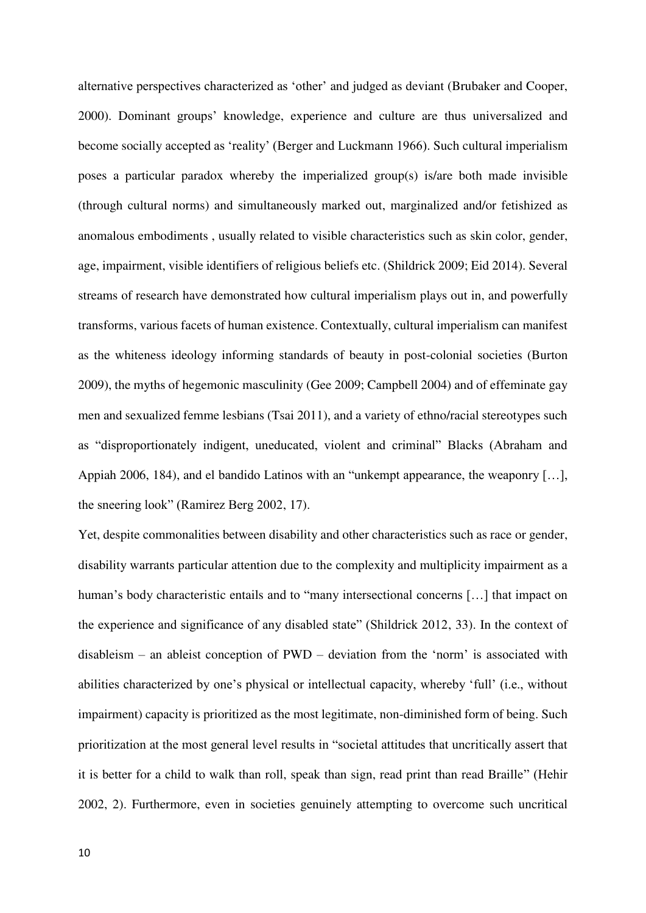alternative perspectives characterized as 'other' and judged as deviant (Brubaker and Cooper, 2000). Dominant groups' knowledge, experience and culture are thus universalized and become socially accepted as 'reality' (Berger and Luckmann 1966). Such cultural imperialism poses a particular paradox whereby the imperialized group(s) is/are both made invisible (through cultural norms) and simultaneously marked out, marginalized and/or fetishized as anomalous embodiments , usually related to visible characteristics such as skin color, gender, age, impairment, visible identifiers of religious beliefs etc. (Shildrick 2009; Eid 2014). Several streams of research have demonstrated how cultural imperialism plays out in, and powerfully transforms, various facets of human existence. Contextually, cultural imperialism can manifest as the whiteness ideology informing standards of beauty in post-colonial societies (Burton 2009), the myths of hegemonic masculinity (Gee 2009; Campbell 2004) and of effeminate gay men and sexualized femme lesbians (Tsai 2011), and a variety of ethno/racial stereotypes such as "disproportionately indigent, uneducated, violent and criminal" Blacks (Abraham and Appiah 2006, 184), and el bandido Latinos with an "unkempt appearance, the weaponry […], the sneering look" (Ramirez Berg 2002, 17).

Yet, despite commonalities between disability and other characteristics such as race or gender, disability warrants particular attention due to the complexity and multiplicity impairment as a human's body characteristic entails and to "many intersectional concerns [...] that impact on the experience and significance of any disabled state" (Shildrick 2012, 33). In the context of disableism – an ableist conception of PWD – deviation from the 'norm' is associated with abilities characterized by one's physical or intellectual capacity, whereby 'full' (i.e., without impairment) capacity is prioritized as the most legitimate, non-diminished form of being. Such prioritization at the most general level results in "societal attitudes that uncritically assert that it is better for a child to walk than roll, speak than sign, read print than read Braille" (Hehir 2002, 2). Furthermore, even in societies genuinely attempting to overcome such uncritical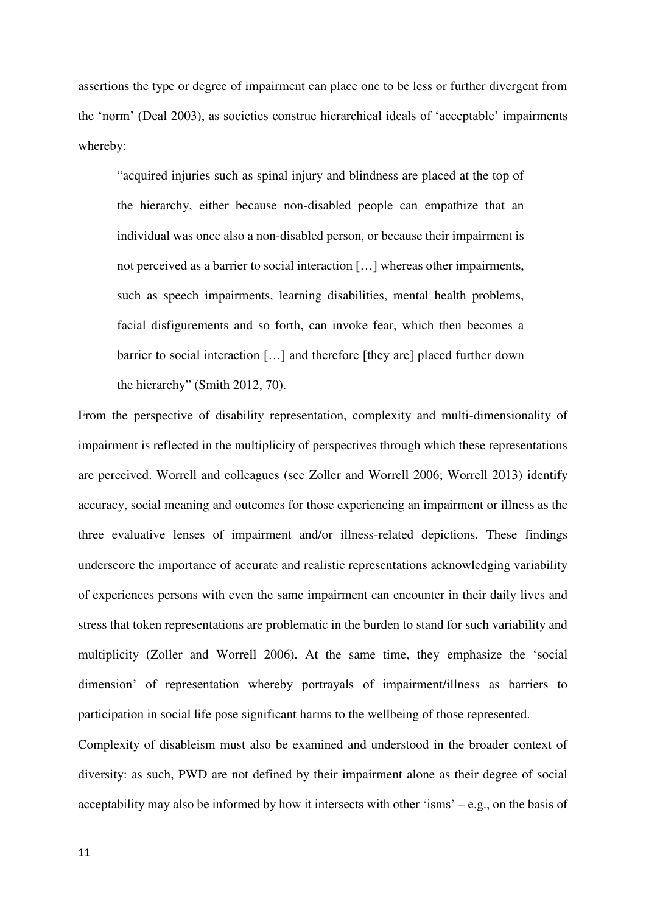assertions the type or degree of impairment can place one to be less or further divergent from the 'norm' (Deal 2003), as societies construe hierarchical ideals of 'acceptable' impairments whereby:

"acquired injuries such as spinal injury and blindness are placed at the top of the hierarchy, either because non-disabled people can empathize that an individual was once also a non-disabled person, or because their impairment is not perceived as a barrier to social interaction […] whereas other impairments, such as speech impairments, learning disabilities, mental health problems, facial disfigurements and so forth, can invoke fear, which then becomes a barrier to social interaction […] and therefore [they are] placed further down the hierarchy" (Smith 2012, 70).

From the perspective of disability representation, complexity and multi-dimensionality of impairment is reflected in the multiplicity of perspectives through which these representations are perceived. Worrell and colleagues (see Zoller and Worrell 2006; Worrell 2013) identify accuracy, social meaning and outcomes for those experiencing an impairment or illness as the three evaluative lenses of impairment and/or illness-related depictions. These findings underscore the importance of accurate and realistic representations acknowledging variability of experiences persons with even the same impairment can encounter in their daily lives and stress that token representations are problematic in the burden to stand for such variability and multiplicity (Zoller and Worrell 2006). At the same time, they emphasize the 'social dimension' of representation whereby portrayals of impairment/illness as barriers to participation in social life pose significant harms to the wellbeing of those represented.

Complexity of disableism must also be examined and understood in the broader context of diversity: as such, PWD are not defined by their impairment alone as their degree of social acceptability may also be informed by how it intersects with other 'isms' – e.g., on the basis of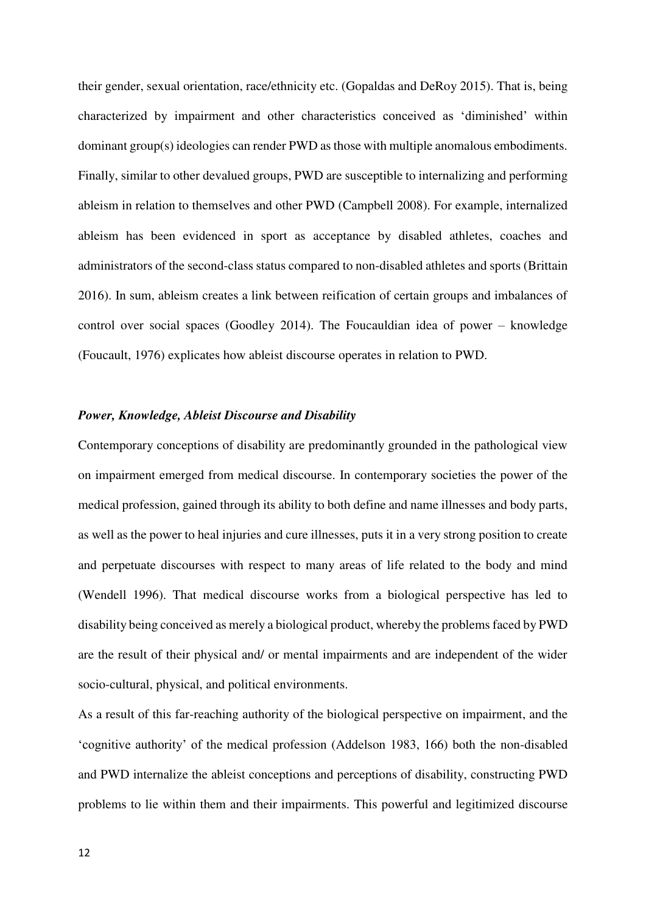their gender, sexual orientation, race/ethnicity etc. (Gopaldas and DeRoy 2015). That is, being characterized by impairment and other characteristics conceived as 'diminished' within dominant group(s) ideologies can render PWD as those with multiple anomalous embodiments. Finally, similar to other devalued groups, PWD are susceptible to internalizing and performing ableism in relation to themselves and other PWD (Campbell 2008). For example, internalized ableism has been evidenced in sport as acceptance by disabled athletes, coaches and administrators of the second-class status compared to non-disabled athletes and sports (Brittain 2016). In sum, ableism creates a link between reification of certain groups and imbalances of control over social spaces (Goodley 2014). The Foucauldian idea of power – knowledge (Foucault, 1976) explicates how ableist discourse operates in relation to PWD.

# *Power, Knowledge, Ableist Discourse and Disability*

Contemporary conceptions of disability are predominantly grounded in the pathological view on impairment emerged from medical discourse. In contemporary societies the power of the medical profession, gained through its ability to both define and name illnesses and body parts, as well as the power to heal injuries and cure illnesses, puts it in a very strong position to create and perpetuate discourses with respect to many areas of life related to the body and mind (Wendell 1996). That medical discourse works from a biological perspective has led to disability being conceived as merely a biological product, whereby the problems faced by PWD are the result of their physical and/ or mental impairments and are independent of the wider socio-cultural, physical, and political environments.

As a result of this far-reaching authority of the biological perspective on impairment, and the 'cognitive authority' of the medical profession (Addelson 1983, 166) both the non-disabled and PWD internalize the ableist conceptions and perceptions of disability, constructing PWD problems to lie within them and their impairments. This powerful and legitimized discourse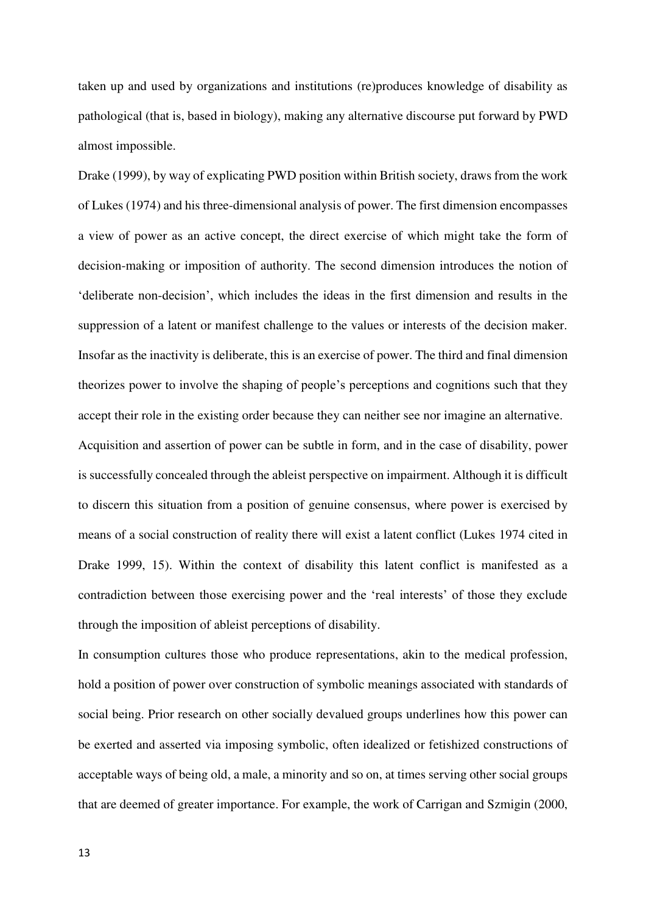taken up and used by organizations and institutions (re)produces knowledge of disability as pathological (that is, based in biology), making any alternative discourse put forward by PWD almost impossible.

Drake (1999), by way of explicating PWD position within British society, draws from the work of Lukes (1974) and his three-dimensional analysis of power. The first dimension encompasses a view of power as an active concept, the direct exercise of which might take the form of decision-making or imposition of authority. The second dimension introduces the notion of 'deliberate non-decision', which includes the ideas in the first dimension and results in the suppression of a latent or manifest challenge to the values or interests of the decision maker. Insofar as the inactivity is deliberate, this is an exercise of power. The third and final dimension theorizes power to involve the shaping of people's perceptions and cognitions such that they accept their role in the existing order because they can neither see nor imagine an alternative. Acquisition and assertion of power can be subtle in form, and in the case of disability, power is successfully concealed through the ableist perspective on impairment. Although it is difficult to discern this situation from a position of genuine consensus, where power is exercised by means of a social construction of reality there will exist a latent conflict (Lukes 1974 cited in Drake 1999, 15). Within the context of disability this latent conflict is manifested as a contradiction between those exercising power and the 'real interests' of those they exclude

through the imposition of ableist perceptions of disability.

In consumption cultures those who produce representations, akin to the medical profession, hold a position of power over construction of symbolic meanings associated with standards of social being. Prior research on other socially devalued groups underlines how this power can be exerted and asserted via imposing symbolic, often idealized or fetishized constructions of acceptable ways of being old, a male, a minority and so on, at times serving other social groups that are deemed of greater importance. For example, the work of Carrigan and Szmigin (2000,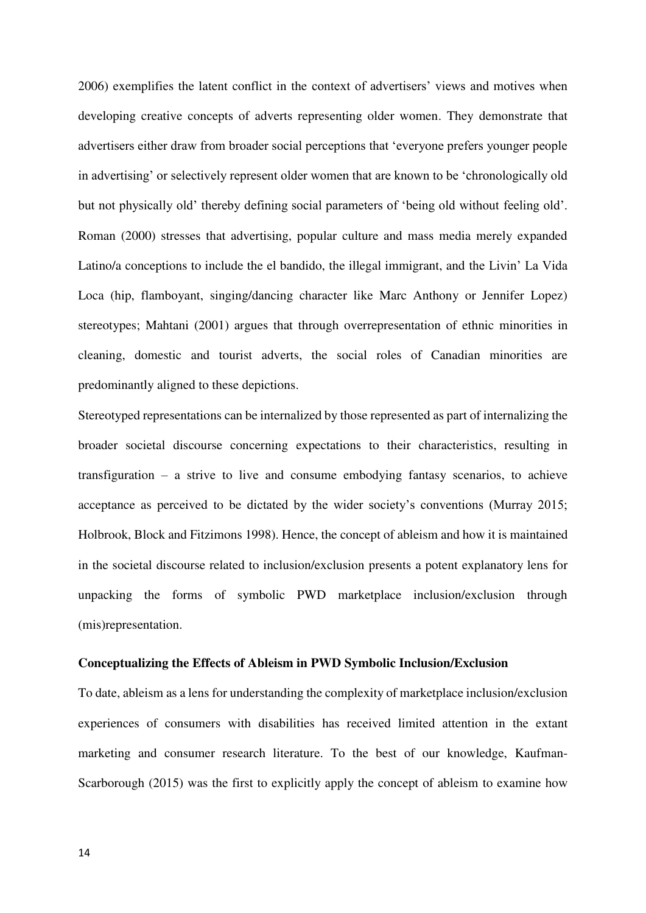2006) exemplifies the latent conflict in the context of advertisers' views and motives when developing creative concepts of adverts representing older women. They demonstrate that advertisers either draw from broader social perceptions that 'everyone prefers younger people in advertising' or selectively represent older women that are known to be 'chronologically old but not physically old' thereby defining social parameters of 'being old without feeling old'. Roman (2000) stresses that advertising, popular culture and mass media merely expanded Latino/a conceptions to include the el bandido, the illegal immigrant, and the Livin' La Vida Loca (hip, flamboyant, singing/dancing character like Marc Anthony or Jennifer Lopez) stereotypes; Mahtani (2001) argues that through overrepresentation of ethnic minorities in cleaning, domestic and tourist adverts, the social roles of Canadian minorities are predominantly aligned to these depictions.

Stereotyped representations can be internalized by those represented as part of internalizing the broader societal discourse concerning expectations to their characteristics, resulting in transfiguration – a strive to live and consume embodying fantasy scenarios, to achieve acceptance as perceived to be dictated by the wider society's conventions (Murray 2015; Holbrook, Block and Fitzimons 1998). Hence, the concept of ableism and how it is maintained in the societal discourse related to inclusion/exclusion presents a potent explanatory lens for unpacking the forms of symbolic PWD marketplace inclusion/exclusion through (mis)representation.

### **Conceptualizing the Effects of Ableism in PWD Symbolic Inclusion/Exclusion**

To date, ableism as a lens for understanding the complexity of marketplace inclusion/exclusion experiences of consumers with disabilities has received limited attention in the extant marketing and consumer research literature. To the best of our knowledge, Kaufman-Scarborough (2015) was the first to explicitly apply the concept of ableism to examine how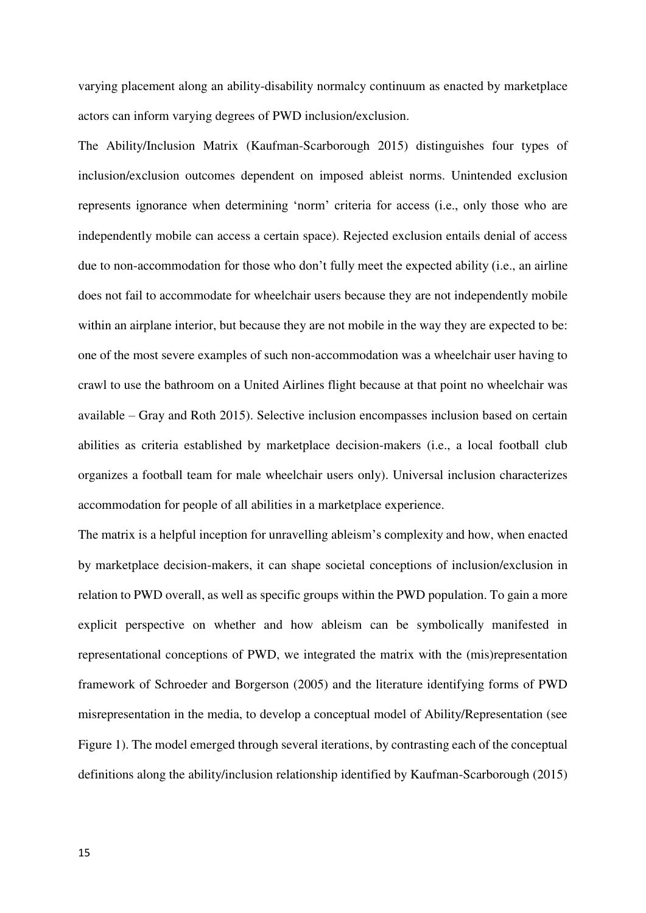varying placement along an ability-disability normalcy continuum as enacted by marketplace actors can inform varying degrees of PWD inclusion/exclusion.

The Ability/Inclusion Matrix (Kaufman-Scarborough 2015) distinguishes four types of inclusion/exclusion outcomes dependent on imposed ableist norms. Unintended exclusion represents ignorance when determining 'norm' criteria for access (i.e., only those who are independently mobile can access a certain space). Rejected exclusion entails denial of access due to non-accommodation for those who don't fully meet the expected ability (i.e., an airline does not fail to accommodate for wheelchair users because they are not independently mobile within an airplane interior, but because they are not mobile in the way they are expected to be: one of the most severe examples of such non-accommodation was a wheelchair user having to crawl to use the bathroom on a United Airlines flight because at that point no wheelchair was available – Gray and Roth 2015). Selective inclusion encompasses inclusion based on certain abilities as criteria established by marketplace decision-makers (i.e., a local football club organizes a football team for male wheelchair users only). Universal inclusion characterizes accommodation for people of all abilities in a marketplace experience.

The matrix is a helpful inception for unravelling ableism's complexity and how, when enacted by marketplace decision-makers, it can shape societal conceptions of inclusion/exclusion in relation to PWD overall, as well as specific groups within the PWD population. To gain a more explicit perspective on whether and how ableism can be symbolically manifested in representational conceptions of PWD, we integrated the matrix with the (mis)representation framework of Schroeder and Borgerson (2005) and the literature identifying forms of PWD misrepresentation in the media, to develop a conceptual model of Ability/Representation (see Figure 1). The model emerged through several iterations, by contrasting each of the conceptual definitions along the ability/inclusion relationship identified by Kaufman-Scarborough (2015)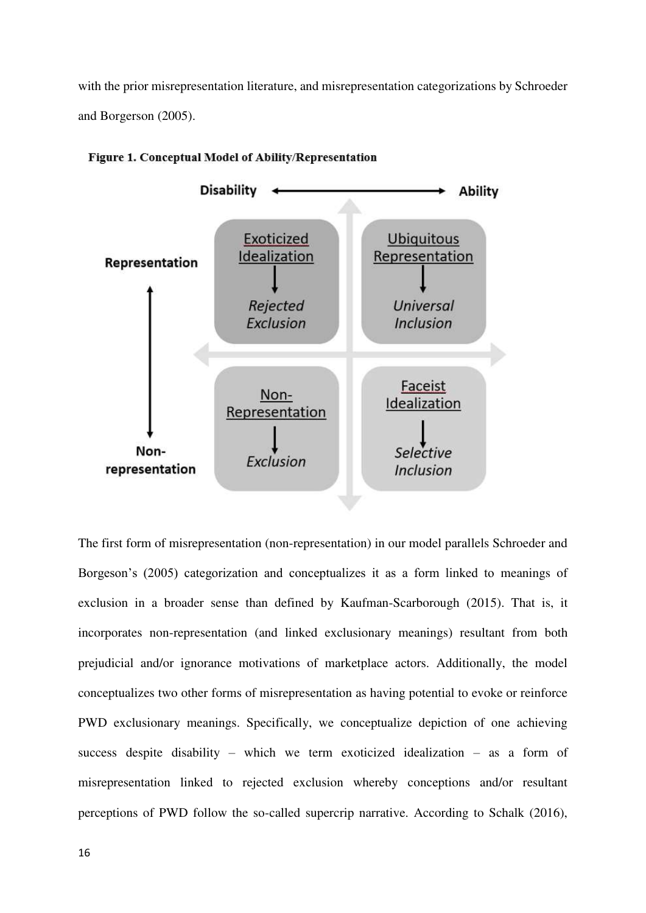with the prior misrepresentation literature, and misrepresentation categorizations by Schroeder and Borgerson (2005).



### Figure 1. Conceptual Model of Ability/Representation

The first form of misrepresentation (non-representation) in our model parallels Schroeder and Borgeson's (2005) categorization and conceptualizes it as a form linked to meanings of exclusion in a broader sense than defined by Kaufman-Scarborough (2015). That is, it incorporates non-representation (and linked exclusionary meanings) resultant from both prejudicial and/or ignorance motivations of marketplace actors. Additionally, the model conceptualizes two other forms of misrepresentation as having potential to evoke or reinforce PWD exclusionary meanings. Specifically, we conceptualize depiction of one achieving success despite disability – which we term exoticized idealization – as a form of misrepresentation linked to rejected exclusion whereby conceptions and/or resultant perceptions of PWD follow the so-called supercrip narrative. According to Schalk (2016),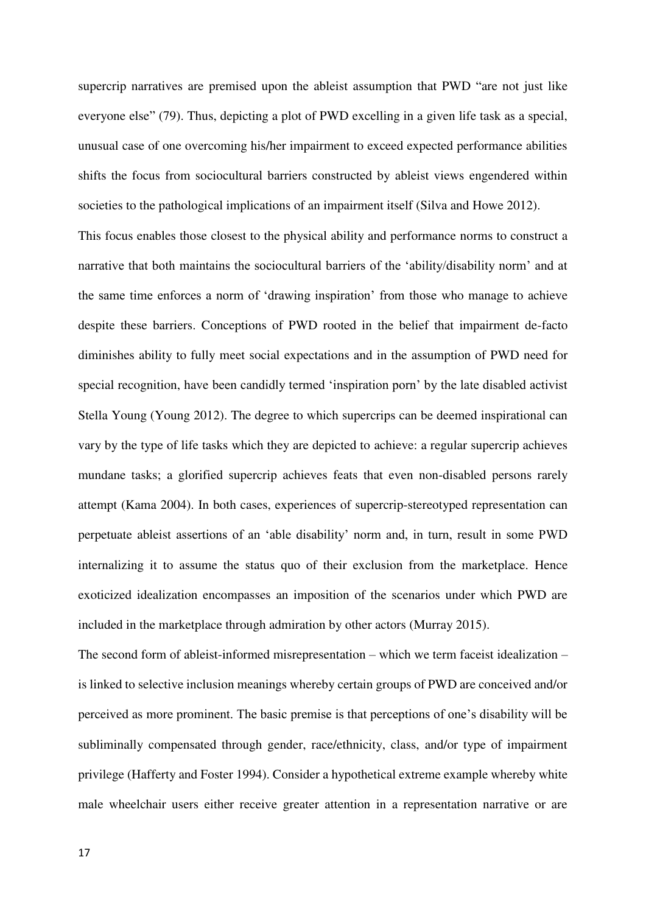supercrip narratives are premised upon the ableist assumption that PWD "are not just like everyone else" (79). Thus, depicting a plot of PWD excelling in a given life task as a special, unusual case of one overcoming his/her impairment to exceed expected performance abilities shifts the focus from sociocultural barriers constructed by ableist views engendered within societies to the pathological implications of an impairment itself (Silva and Howe 2012).

This focus enables those closest to the physical ability and performance norms to construct a narrative that both maintains the sociocultural barriers of the 'ability/disability norm' and at the same time enforces a norm of 'drawing inspiration' from those who manage to achieve despite these barriers. Conceptions of PWD rooted in the belief that impairment de-facto diminishes ability to fully meet social expectations and in the assumption of PWD need for special recognition, have been candidly termed 'inspiration porn' by the late disabled activist Stella Young (Young 2012). The degree to which supercrips can be deemed inspirational can vary by the type of life tasks which they are depicted to achieve: a regular supercrip achieves mundane tasks; a glorified supercrip achieves feats that even non-disabled persons rarely attempt (Kama 2004). In both cases, experiences of supercrip-stereotyped representation can perpetuate ableist assertions of an 'able disability' norm and, in turn, result in some PWD internalizing it to assume the status quo of their exclusion from the marketplace. Hence exoticized idealization encompasses an imposition of the scenarios under which PWD are included in the marketplace through admiration by other actors (Murray 2015).

The second form of ableist-informed misrepresentation – which we term faceist idealization – is linked to selective inclusion meanings whereby certain groups of PWD are conceived and/or perceived as more prominent. The basic premise is that perceptions of one's disability will be subliminally compensated through gender, race/ethnicity, class, and/or type of impairment privilege (Hafferty and Foster 1994). Consider a hypothetical extreme example whereby white male wheelchair users either receive greater attention in a representation narrative or are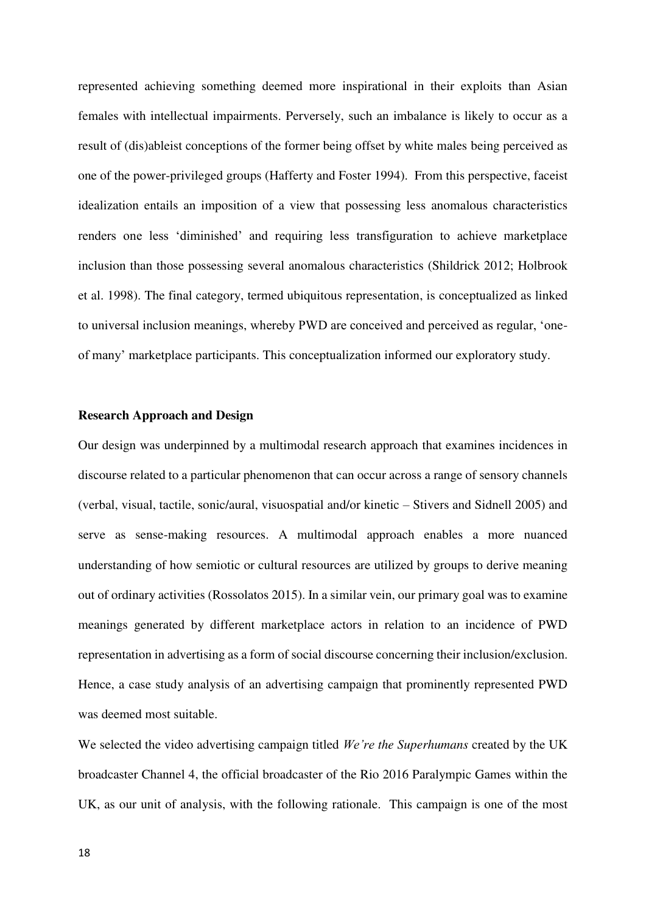represented achieving something deemed more inspirational in their exploits than Asian females with intellectual impairments. Perversely, such an imbalance is likely to occur as a result of (dis)ableist conceptions of the former being offset by white males being perceived as one of the power-privileged groups (Hafferty and Foster 1994). From this perspective, faceist idealization entails an imposition of a view that possessing less anomalous characteristics renders one less 'diminished' and requiring less transfiguration to achieve marketplace inclusion than those possessing several anomalous characteristics (Shildrick 2012; Holbrook et al. 1998). The final category, termed ubiquitous representation, is conceptualized as linked to universal inclusion meanings, whereby PWD are conceived and perceived as regular, 'oneof many' marketplace participants. This conceptualization informed our exploratory study.

# **Research Approach and Design**

Our design was underpinned by a multimodal research approach that examines incidences in discourse related to a particular phenomenon that can occur across a range of sensory channels (verbal, visual, tactile, sonic/aural, visuospatial and/or kinetic – Stivers and Sidnell 2005) and serve as sense-making resources. A multimodal approach enables a more nuanced understanding of how semiotic or cultural resources are utilized by groups to derive meaning out of ordinary activities (Rossolatos 2015). In a similar vein, our primary goal was to examine meanings generated by different marketplace actors in relation to an incidence of PWD representation in advertising as a form of social discourse concerning their inclusion/exclusion. Hence, a case study analysis of an advertising campaign that prominently represented PWD was deemed most suitable.

We selected the video advertising campaign titled *We're the Superhumans* created by the UK broadcaster Channel 4, the official broadcaster of the Rio 2016 Paralympic Games within the UK, as our unit of analysis, with the following rationale. This campaign is one of the most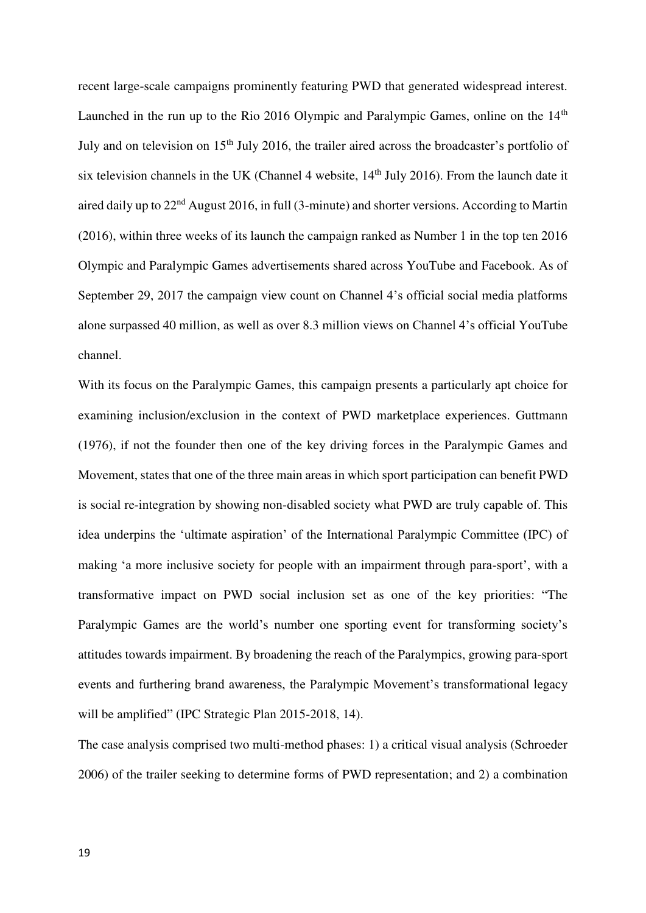recent large-scale campaigns prominently featuring PWD that generated widespread interest. Launched in the run up to the Rio 2016 Olympic and Paralympic Games, online on the  $14<sup>th</sup>$ July and on television on 15<sup>th</sup> July 2016, the trailer aired across the broadcaster's portfolio of six television channels in the UK (Channel 4 website,  $14<sup>th</sup>$  July 2016). From the launch date it aired daily up to 22<sup>nd</sup> August 2016, in full (3-minute) and shorter versions. According to Martin (2016), within three weeks of its launch the campaign ranked as Number 1 in the top ten 2016 Olympic and Paralympic Games advertisements shared across YouTube and Facebook. As of September 29, 2017 the campaign view count on Channel 4's official social media platforms alone surpassed 40 million, as well as over 8.3 million views on Channel 4's official YouTube channel.

With its focus on the Paralympic Games, this campaign presents a particularly apt choice for examining inclusion/exclusion in the context of PWD marketplace experiences. Guttmann (1976), if not the founder then one of the key driving forces in the Paralympic Games and Movement, states that one of the three main areas in which sport participation can benefit PWD is social re-integration by showing non-disabled society what PWD are truly capable of. This idea underpins the 'ultimate aspiration' of the International Paralympic Committee (IPC) of making 'a more inclusive society for people with an impairment through para-sport', with a transformative impact on PWD social inclusion set as one of the key priorities: "The Paralympic Games are the world's number one sporting event for transforming society's attitudes towards impairment. By broadening the reach of the Paralympics, growing para-sport events and furthering brand awareness, the Paralympic Movement's transformational legacy will be amplified" (IPC Strategic Plan 2015-2018, 14).

The case analysis comprised two multi-method phases: 1) a critical visual analysis (Schroeder 2006) of the trailer seeking to determine forms of PWD representation; and 2) a combination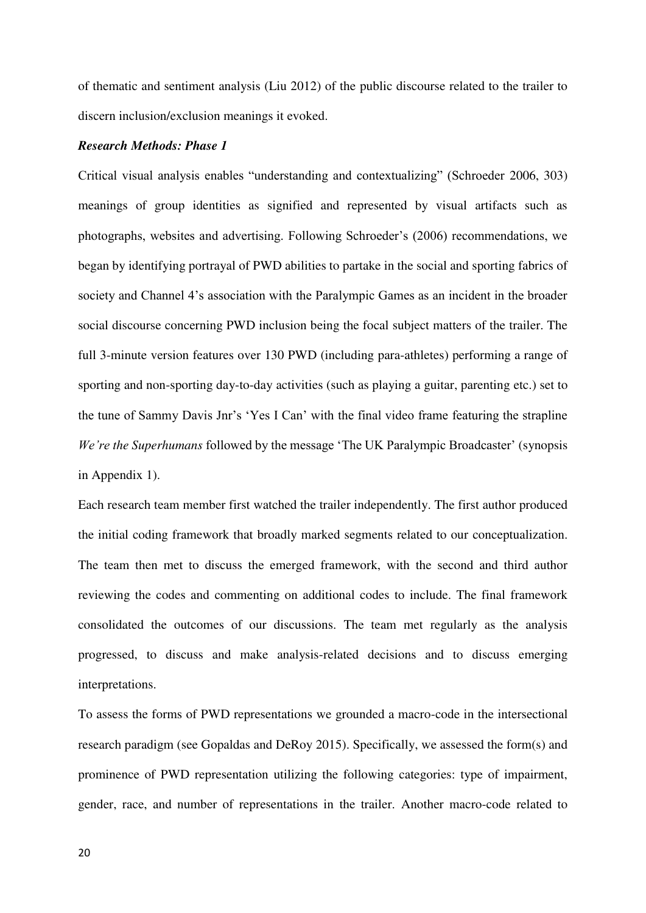of thematic and sentiment analysis (Liu 2012) of the public discourse related to the trailer to discern inclusion/exclusion meanings it evoked.

# *Research Methods: Phase 1*

Critical visual analysis enables "understanding and contextualizing" (Schroeder 2006, 303) meanings of group identities as signified and represented by visual artifacts such as photographs, websites and advertising. Following Schroeder's (2006) recommendations, we began by identifying portrayal of PWD abilities to partake in the social and sporting fabrics of society and Channel 4's association with the Paralympic Games as an incident in the broader social discourse concerning PWD inclusion being the focal subject matters of the trailer. The full 3-minute version features over 130 PWD (including para-athletes) performing a range of sporting and non-sporting day-to-day activities (such as playing a guitar, parenting etc.) set to the tune of Sammy Davis Jnr's 'Yes I Can' with the final video frame featuring the strapline *We're the Superhumans* followed by the message 'The UK Paralympic Broadcaster' (synopsis in Appendix 1).

Each research team member first watched the trailer independently. The first author produced the initial coding framework that broadly marked segments related to our conceptualization. The team then met to discuss the emerged framework, with the second and third author reviewing the codes and commenting on additional codes to include. The final framework consolidated the outcomes of our discussions. The team met regularly as the analysis progressed, to discuss and make analysis-related decisions and to discuss emerging interpretations.

To assess the forms of PWD representations we grounded a macro-code in the intersectional research paradigm (see Gopaldas and DeRoy 2015). Specifically, we assessed the form(s) and prominence of PWD representation utilizing the following categories: type of impairment, gender, race, and number of representations in the trailer. Another macro-code related to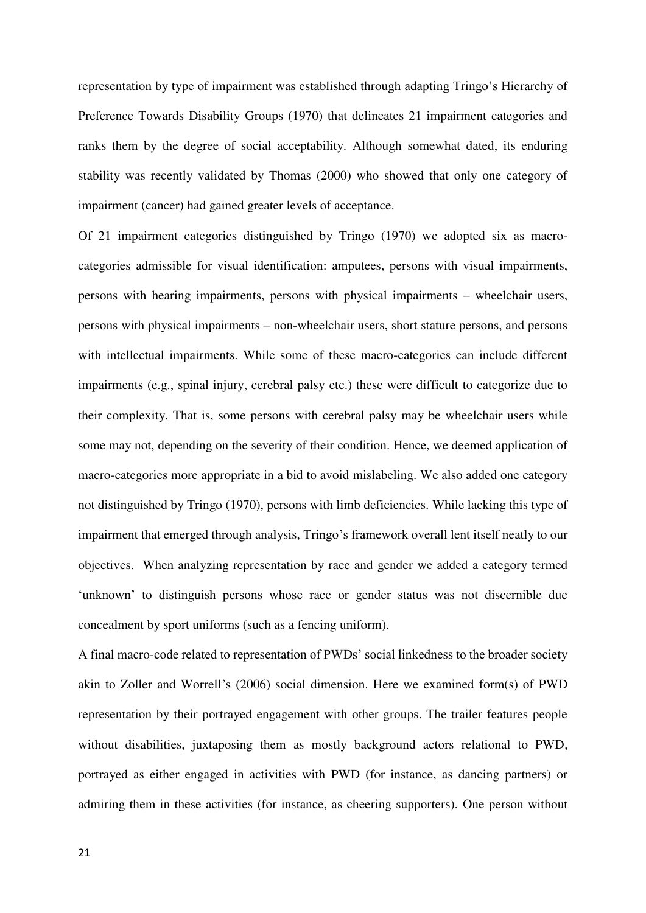representation by type of impairment was established through adapting Tringo's Hierarchy of Preference Towards Disability Groups (1970) that delineates 21 impairment categories and ranks them by the degree of social acceptability. Although somewhat dated, its enduring stability was recently validated by Thomas (2000) who showed that only one category of impairment (cancer) had gained greater levels of acceptance.

Of 21 impairment categories distinguished by Tringo (1970) we adopted six as macrocategories admissible for visual identification: amputees, persons with visual impairments, persons with hearing impairments, persons with physical impairments – wheelchair users, persons with physical impairments – non-wheelchair users, short stature persons, and persons with intellectual impairments. While some of these macro-categories can include different impairments (e.g., spinal injury, cerebral palsy etc.) these were difficult to categorize due to their complexity. That is, some persons with cerebral palsy may be wheelchair users while some may not, depending on the severity of their condition. Hence, we deemed application of macro-categories more appropriate in a bid to avoid mislabeling. We also added one category not distinguished by Tringo (1970), persons with limb deficiencies. While lacking this type of impairment that emerged through analysis, Tringo's framework overall lent itself neatly to our objectives. When analyzing representation by race and gender we added a category termed 'unknown' to distinguish persons whose race or gender status was not discernible due concealment by sport uniforms (such as a fencing uniform).

A final macro-code related to representation of PWDs' social linkedness to the broader society akin to Zoller and Worrell's (2006) social dimension. Here we examined form(s) of PWD representation by their portrayed engagement with other groups. The trailer features people without disabilities, juxtaposing them as mostly background actors relational to PWD, portrayed as either engaged in activities with PWD (for instance, as dancing partners) or admiring them in these activities (for instance, as cheering supporters). One person without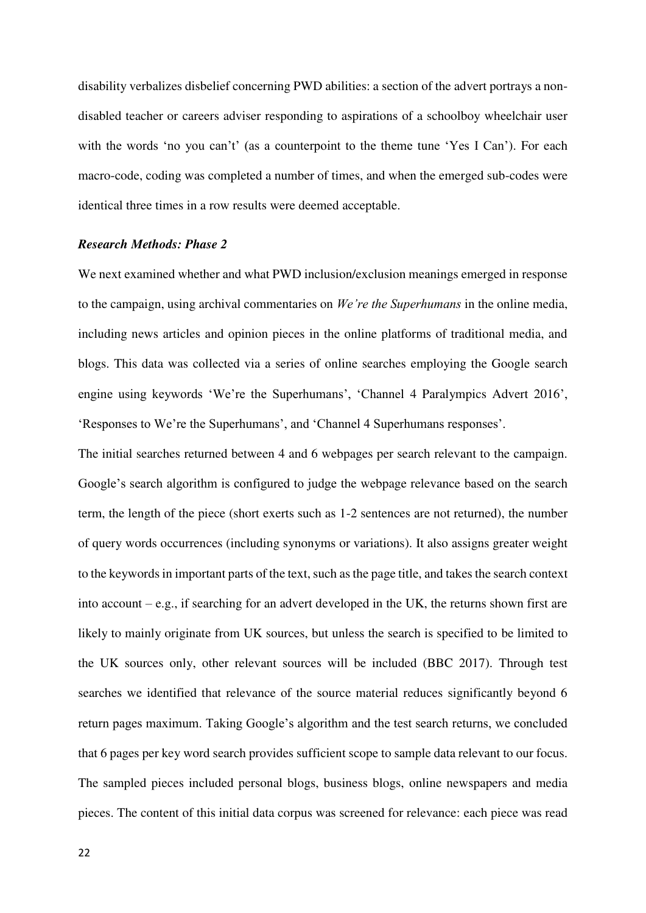disability verbalizes disbelief concerning PWD abilities: a section of the advert portrays a nondisabled teacher or careers adviser responding to aspirations of a schoolboy wheelchair user with the words 'no you can't' (as a counterpoint to the theme tune 'Yes I Can'). For each macro-code, coding was completed a number of times, and when the emerged sub-codes were identical three times in a row results were deemed acceptable.

# *Research Methods: Phase 2*

We next examined whether and what PWD inclusion/exclusion meanings emerged in response to the campaign, using archival commentaries on *We're the Superhumans* in the online media, including news articles and opinion pieces in the online platforms of traditional media, and blogs. This data was collected via a series of online searches employing the Google search engine using keywords 'We're the Superhumans', 'Channel 4 Paralympics Advert 2016', 'Responses to We're the Superhumans', and 'Channel 4 Superhumans responses'.

The initial searches returned between 4 and 6 webpages per search relevant to the campaign. Google's search algorithm is configured to judge the webpage relevance based on the search term, the length of the piece (short exerts such as 1-2 sentences are not returned), the number of query words occurrences (including synonyms or variations). It also assigns greater weight to the keywords in important parts of the text, such as the page title, and takes the search context into account – e.g., if searching for an advert developed in the UK, the returns shown first are likely to mainly originate from UK sources, but unless the search is specified to be limited to the UK sources only, other relevant sources will be included (BBC 2017). Through test searches we identified that relevance of the source material reduces significantly beyond 6 return pages maximum. Taking Google's algorithm and the test search returns, we concluded that 6 pages per key word search provides sufficient scope to sample data relevant to our focus. The sampled pieces included personal blogs, business blogs, online newspapers and media pieces. The content of this initial data corpus was screened for relevance: each piece was read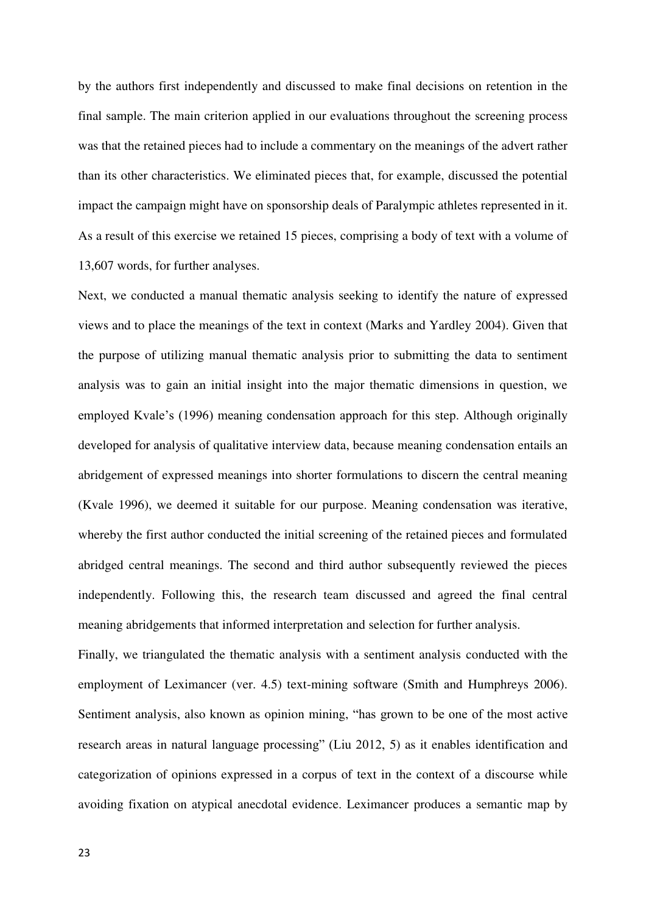by the authors first independently and discussed to make final decisions on retention in the final sample. The main criterion applied in our evaluations throughout the screening process was that the retained pieces had to include a commentary on the meanings of the advert rather than its other characteristics. We eliminated pieces that, for example, discussed the potential impact the campaign might have on sponsorship deals of Paralympic athletes represented in it. As a result of this exercise we retained 15 pieces, comprising a body of text with a volume of 13,607 words, for further analyses.

Next, we conducted a manual thematic analysis seeking to identify the nature of expressed views and to place the meanings of the text in context (Marks and Yardley 2004). Given that the purpose of utilizing manual thematic analysis prior to submitting the data to sentiment analysis was to gain an initial insight into the major thematic dimensions in question, we employed Kvale's (1996) meaning condensation approach for this step. Although originally developed for analysis of qualitative interview data, because meaning condensation entails an abridgement of expressed meanings into shorter formulations to discern the central meaning (Kvale 1996), we deemed it suitable for our purpose. Meaning condensation was iterative, whereby the first author conducted the initial screening of the retained pieces and formulated abridged central meanings. The second and third author subsequently reviewed the pieces independently. Following this, the research team discussed and agreed the final central meaning abridgements that informed interpretation and selection for further analysis.

Finally, we triangulated the thematic analysis with a sentiment analysis conducted with the employment of Leximancer (ver. 4.5) text-mining software (Smith and Humphreys 2006). Sentiment analysis, also known as opinion mining, "has grown to be one of the most active research areas in natural language processing" (Liu 2012, 5) as it enables identification and categorization of opinions expressed in a corpus of text in the context of a discourse while avoiding fixation on atypical anecdotal evidence. Leximancer produces a semantic map by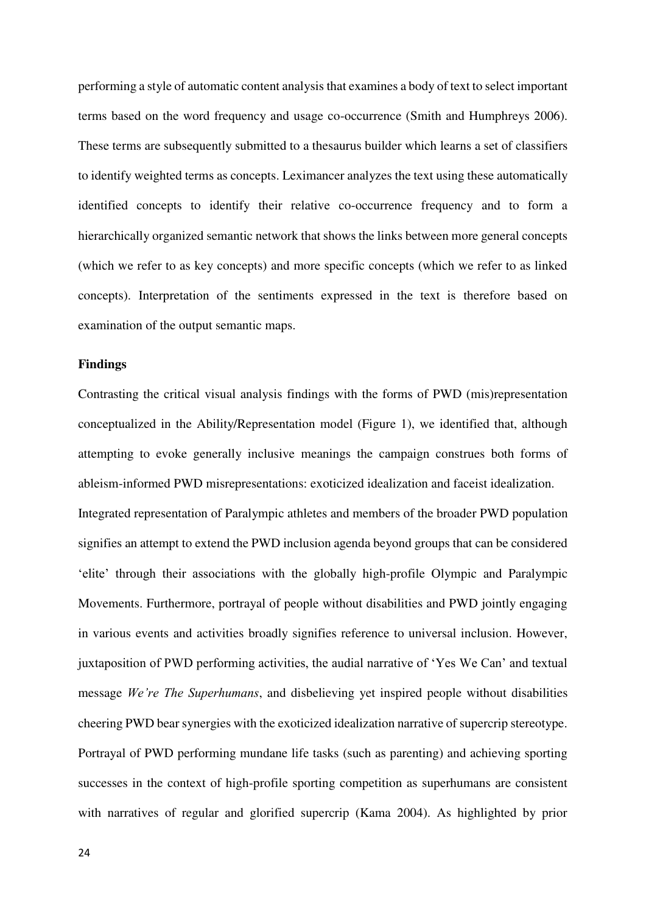performing a style of automatic content analysis that examines a body of text to select important terms based on the word frequency and usage co-occurrence (Smith and Humphreys 2006). These terms are subsequently submitted to a thesaurus builder which learns a set of classifiers to identify weighted terms as concepts. Leximancer analyzes the text using these automatically identified concepts to identify their relative co-occurrence frequency and to form a hierarchically organized semantic network that shows the links between more general concepts (which we refer to as key concepts) and more specific concepts (which we refer to as linked concepts). Interpretation of the sentiments expressed in the text is therefore based on examination of the output semantic maps.

# **Findings**

Contrasting the critical visual analysis findings with the forms of PWD (mis)representation conceptualized in the Ability/Representation model (Figure 1), we identified that, although attempting to evoke generally inclusive meanings the campaign construes both forms of ableism-informed PWD misrepresentations: exoticized idealization and faceist idealization. Integrated representation of Paralympic athletes and members of the broader PWD population signifies an attempt to extend the PWD inclusion agenda beyond groups that can be considered 'elite' through their associations with the globally high-profile Olympic and Paralympic Movements. Furthermore, portrayal of people without disabilities and PWD jointly engaging in various events and activities broadly signifies reference to universal inclusion. However, juxtaposition of PWD performing activities, the audial narrative of 'Yes We Can' and textual message *We're The Superhumans*, and disbelieving yet inspired people without disabilities cheering PWD bear synergies with the exoticized idealization narrative of supercrip stereotype. Portrayal of PWD performing mundane life tasks (such as parenting) and achieving sporting successes in the context of high-profile sporting competition as superhumans are consistent with narratives of regular and glorified supercrip (Kama 2004). As highlighted by prior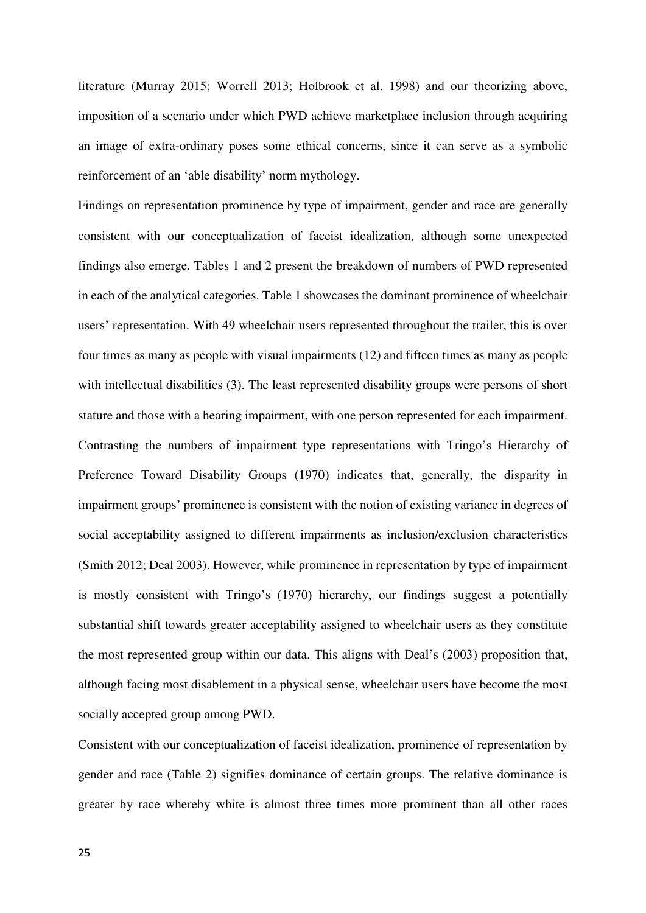literature (Murray 2015; Worrell 2013; Holbrook et al. 1998) and our theorizing above, imposition of a scenario under which PWD achieve marketplace inclusion through acquiring an image of extra-ordinary poses some ethical concerns, since it can serve as a symbolic reinforcement of an 'able disability' norm mythology.

Findings on representation prominence by type of impairment, gender and race are generally consistent with our conceptualization of faceist idealization, although some unexpected findings also emerge. Tables 1 and 2 present the breakdown of numbers of PWD represented in each of the analytical categories. Table 1 showcases the dominant prominence of wheelchair users' representation. With 49 wheelchair users represented throughout the trailer, this is over four times as many as people with visual impairments (12) and fifteen times as many as people with intellectual disabilities (3). The least represented disability groups were persons of short stature and those with a hearing impairment, with one person represented for each impairment. Contrasting the numbers of impairment type representations with Tringo's Hierarchy of Preference Toward Disability Groups (1970) indicates that, generally, the disparity in impairment groups' prominence is consistent with the notion of existing variance in degrees of social acceptability assigned to different impairments as inclusion/exclusion characteristics (Smith 2012; Deal 2003). However, while prominence in representation by type of impairment is mostly consistent with Tringo's (1970) hierarchy, our findings suggest a potentially substantial shift towards greater acceptability assigned to wheelchair users as they constitute the most represented group within our data. This aligns with Deal's (2003) proposition that, although facing most disablement in a physical sense, wheelchair users have become the most socially accepted group among PWD.

Consistent with our conceptualization of faceist idealization, prominence of representation by gender and race (Table 2) signifies dominance of certain groups. The relative dominance is greater by race whereby white is almost three times more prominent than all other races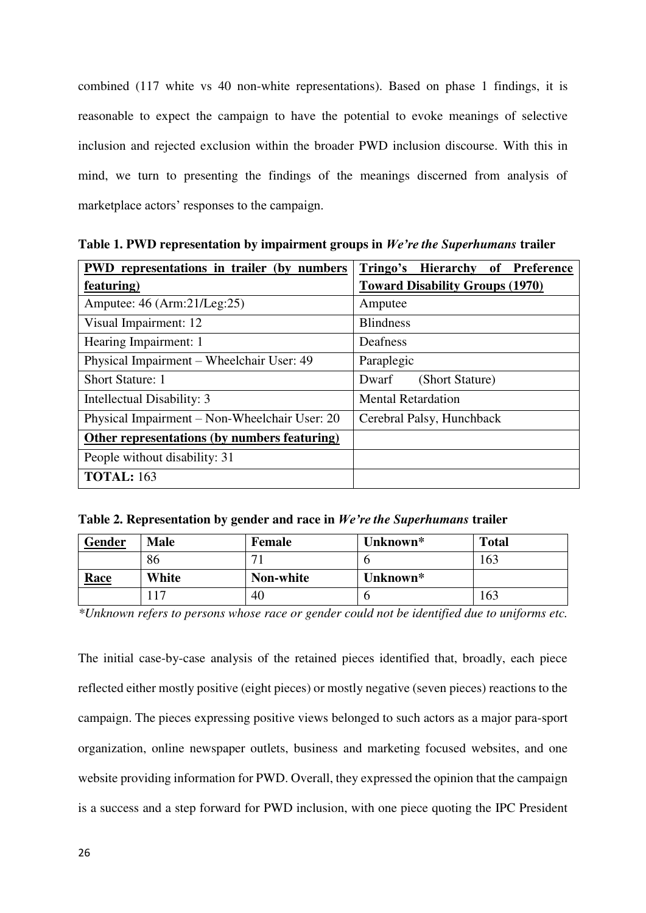combined (117 white vs 40 non-white representations). Based on phase 1 findings, it is reasonable to expect the campaign to have the potential to evoke meanings of selective inclusion and rejected exclusion within the broader PWD inclusion discourse. With this in mind, we turn to presenting the findings of the meanings discerned from analysis of marketplace actors' responses to the campaign.

**PWD representations in trailer (by numbers featuring) Tringo's Hierarchy of Preference Toward Disability Groups (1970)**  Amputee: 46 (Arm:21/Leg:25) Amputee Visual Impairment: 12 Blindness Hearing Impairment: 1 Deafness Physical Impairment – Wheelchair User: 49 Paraplegic Short Stature: 1 Dwarf (Short Stature) Intellectual Disability: 3 Mental Retardation Physical Impairment – Non-Wheelchair User: 20  $\vert$  Cerebral Palsy, Hunchback **Other representations (by numbers featuring)** People without disability: 31 **TOTAL:** 163

**Table 1. PWD representation by impairment groups in** *We're the Superhumans* **trailer** 

|  |  | Table 2. Representation by gender and race in We're the Superhumans trailer |  |  |  |
|--|--|-----------------------------------------------------------------------------|--|--|--|
|  |  |                                                                             |  |  |  |

| <b>Gender</b> | <b>Male</b> | Female    | Unknown* | <b>Total</b> |
|---------------|-------------|-----------|----------|--------------|
|               | 86          |           |          | 163          |
| <b>Race</b>   | White       | Non-white | Unknown* |              |
|               | 17،         | 40        | O        | 163          |

*\*Unknown refers to persons whose race or gender could not be identified due to uniforms etc.* 

The initial case-by-case analysis of the retained pieces identified that, broadly, each piece reflected either mostly positive (eight pieces) or mostly negative (seven pieces) reactions to the campaign. The pieces expressing positive views belonged to such actors as a major para-sport organization, online newspaper outlets, business and marketing focused websites, and one website providing information for PWD. Overall, they expressed the opinion that the campaign is a success and a step forward for PWD inclusion, with one piece quoting the IPC President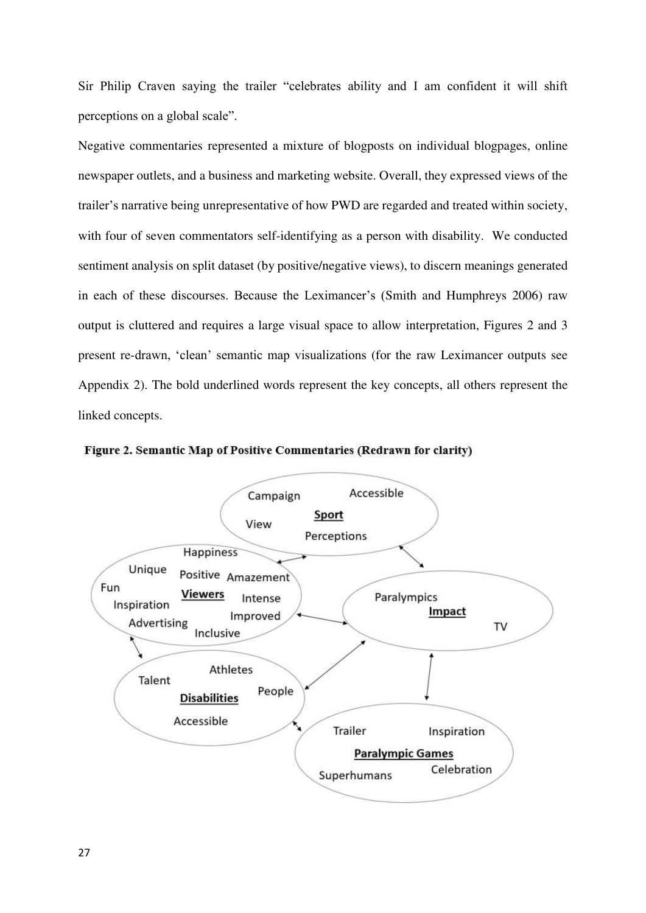Sir Philip Craven saying the trailer "celebrates ability and I am confident it will shift perceptions on a global scale".

Negative commentaries represented a mixture of blogposts on individual blogpages, online newspaper outlets, and a business and marketing website. Overall, they expressed views of the trailer's narrative being unrepresentative of how PWD are regarded and treated within society, with four of seven commentators self-identifying as a person with disability. We conducted sentiment analysis on split dataset (by positive/negative views), to discern meanings generated in each of these discourses. Because the Leximancer's (Smith and Humphreys 2006) raw output is cluttered and requires a large visual space to allow interpretation, Figures 2 and 3 present re-drawn, 'clean' semantic map visualizations (for the raw Leximancer outputs see Appendix 2). The bold underlined words represent the key concepts, all others represent the linked concepts.



Figure 2. Semantic Map of Positive Commentaries (Redrawn for clarity)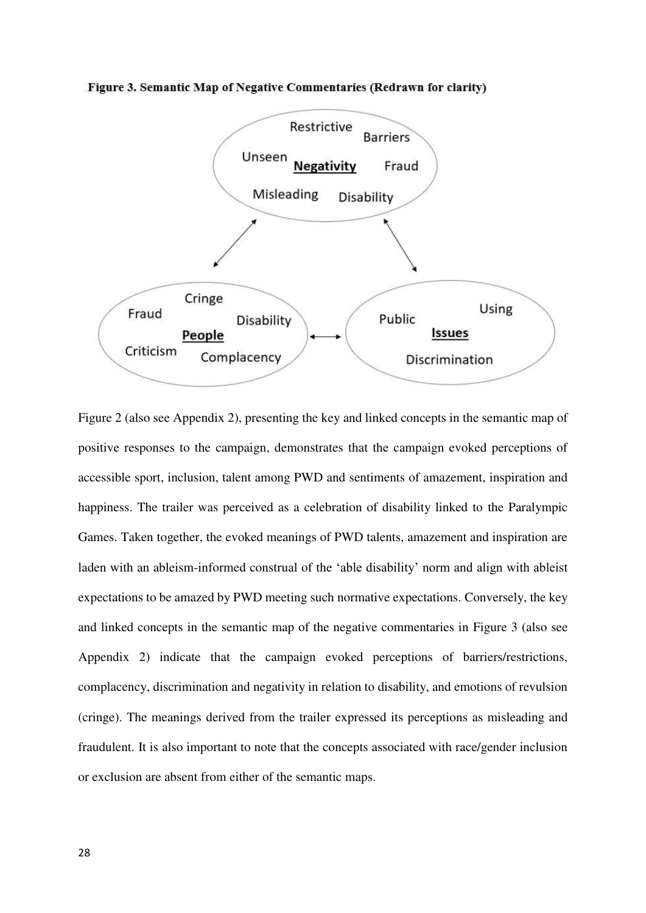

Figure 3. Semantic Map of Negative Commentaries (Redrawn for clarity)

Figure 2 (also see Appendix 2), presenting the key and linked concepts in the semantic map of positive responses to the campaign, demonstrates that the campaign evoked perceptions of accessible sport, inclusion, talent among PWD and sentiments of amazement, inspiration and happiness. The trailer was perceived as a celebration of disability linked to the Paralympic Games. Taken together, the evoked meanings of PWD talents, amazement and inspiration are laden with an ableism-informed construal of the 'able disability' norm and align with ableist expectations to be amazed by PWD meeting such normative expectations. Conversely, the key and linked concepts in the semantic map of the negative commentaries in Figure 3 (also see Appendix 2) indicate that the campaign evoked perceptions of barriers/restrictions, complacency, discrimination and negativity in relation to disability, and emotions of revulsion (cringe). The meanings derived from the trailer expressed its perceptions as misleading and fraudulent. It is also important to note that the concepts associated with race/gender inclusion or exclusion are absent from either of the semantic maps.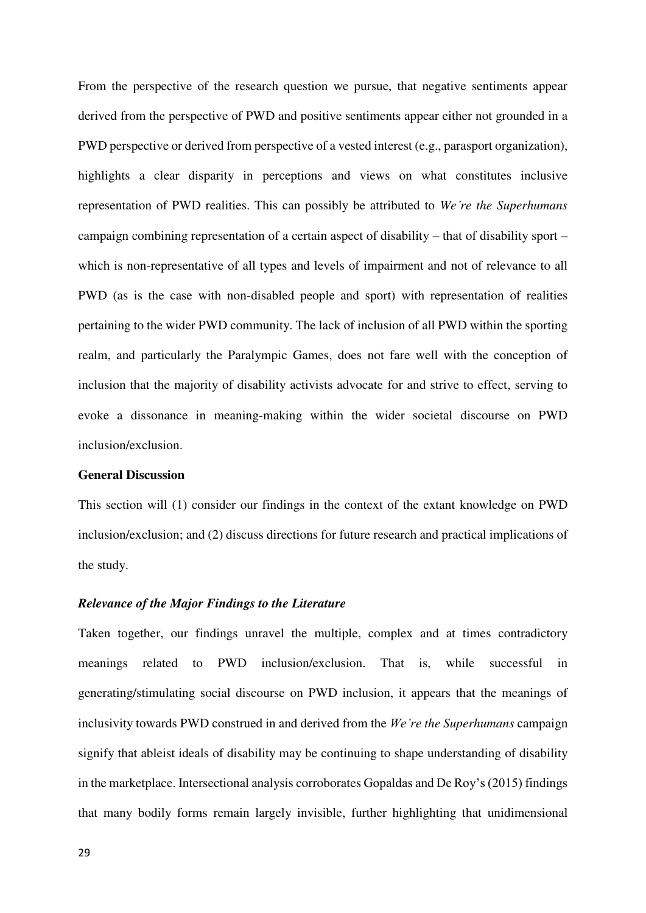From the perspective of the research question we pursue, that negative sentiments appear derived from the perspective of PWD and positive sentiments appear either not grounded in a PWD perspective or derived from perspective of a vested interest (e.g., parasport organization), highlights a clear disparity in perceptions and views on what constitutes inclusive representation of PWD realities. This can possibly be attributed to *We're the Superhumans* campaign combining representation of a certain aspect of disability – that of disability sport – which is non-representative of all types and levels of impairment and not of relevance to all PWD (as is the case with non-disabled people and sport) with representation of realities pertaining to the wider PWD community. The lack of inclusion of all PWD within the sporting realm, and particularly the Paralympic Games, does not fare well with the conception of inclusion that the majority of disability activists advocate for and strive to effect, serving to evoke a dissonance in meaning-making within the wider societal discourse on PWD inclusion/exclusion.

## **General Discussion**

This section will (1) consider our findings in the context of the extant knowledge on PWD inclusion/exclusion; and (2) discuss directions for future research and practical implications of the study.

# *Relevance of the Major Findings to the Literature*

Taken together, our findings unravel the multiple, complex and at times contradictory meanings related to PWD inclusion/exclusion. That is, while successful in generating/stimulating social discourse on PWD inclusion, it appears that the meanings of inclusivity towards PWD construed in and derived from the *We're the Superhumans* campaign signify that ableist ideals of disability may be continuing to shape understanding of disability in the marketplace. Intersectional analysis corroborates Gopaldas and De Roy's (2015) findings that many bodily forms remain largely invisible, further highlighting that unidimensional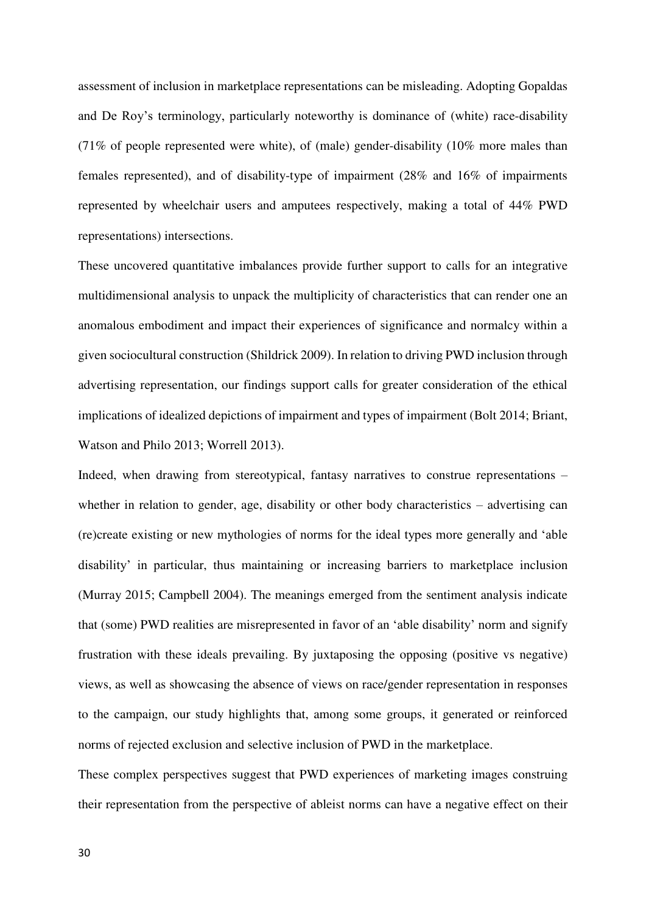assessment of inclusion in marketplace representations can be misleading. Adopting Gopaldas and De Roy's terminology, particularly noteworthy is dominance of (white) race-disability (71% of people represented were white), of (male) gender-disability (10% more males than females represented), and of disability-type of impairment (28% and 16% of impairments represented by wheelchair users and amputees respectively, making a total of 44% PWD representations) intersections.

These uncovered quantitative imbalances provide further support to calls for an integrative multidimensional analysis to unpack the multiplicity of characteristics that can render one an anomalous embodiment and impact their experiences of significance and normalcy within a given sociocultural construction (Shildrick 2009). In relation to driving PWD inclusion through advertising representation, our findings support calls for greater consideration of the ethical implications of idealized depictions of impairment and types of impairment (Bolt 2014; Briant, Watson and Philo 2013; Worrell 2013).

Indeed, when drawing from stereotypical, fantasy narratives to construe representations – whether in relation to gender, age, disability or other body characteristics – advertising can (re)create existing or new mythologies of norms for the ideal types more generally and 'able disability' in particular, thus maintaining or increasing barriers to marketplace inclusion (Murray 2015; Campbell 2004). The meanings emerged from the sentiment analysis indicate that (some) PWD realities are misrepresented in favor of an 'able disability' norm and signify frustration with these ideals prevailing. By juxtaposing the opposing (positive vs negative) views, as well as showcasing the absence of views on race/gender representation in responses to the campaign, our study highlights that, among some groups, it generated or reinforced norms of rejected exclusion and selective inclusion of PWD in the marketplace.

These complex perspectives suggest that PWD experiences of marketing images construing their representation from the perspective of ableist norms can have a negative effect on their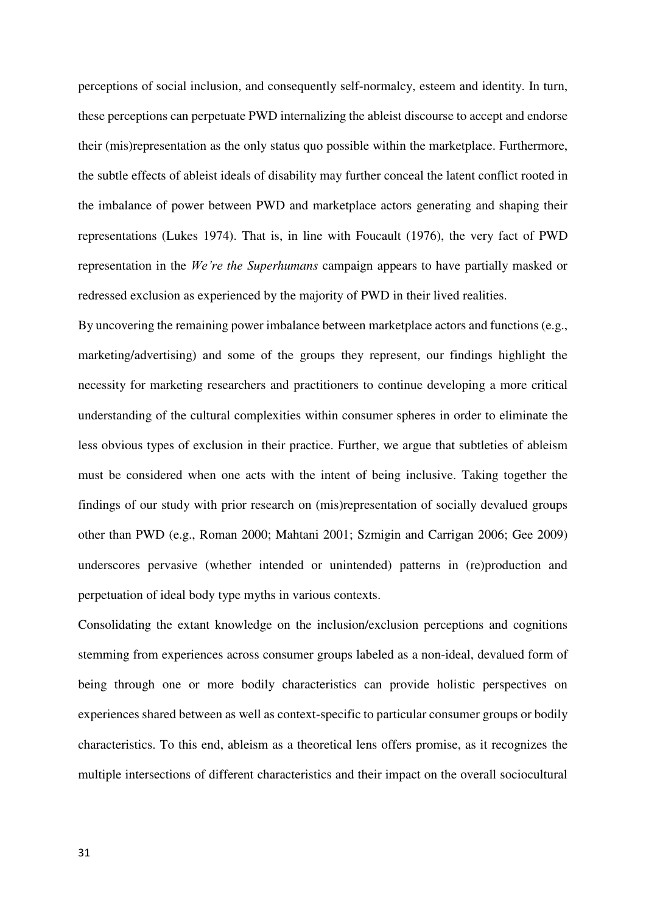perceptions of social inclusion, and consequently self-normalcy, esteem and identity. In turn, these perceptions can perpetuate PWD internalizing the ableist discourse to accept and endorse their (mis)representation as the only status quo possible within the marketplace. Furthermore, the subtle effects of ableist ideals of disability may further conceal the latent conflict rooted in the imbalance of power between PWD and marketplace actors generating and shaping their representations (Lukes 1974). That is, in line with Foucault (1976), the very fact of PWD representation in the *We're the Superhumans* campaign appears to have partially masked or redressed exclusion as experienced by the majority of PWD in their lived realities.

By uncovering the remaining power imbalance between marketplace actors and functions (e.g., marketing/advertising) and some of the groups they represent, our findings highlight the necessity for marketing researchers and practitioners to continue developing a more critical understanding of the cultural complexities within consumer spheres in order to eliminate the less obvious types of exclusion in their practice. Further, we argue that subtleties of ableism must be considered when one acts with the intent of being inclusive. Taking together the findings of our study with prior research on (mis)representation of socially devalued groups other than PWD (e.g., Roman 2000; Mahtani 2001; Szmigin and Carrigan 2006; Gee 2009) underscores pervasive (whether intended or unintended) patterns in (re)production and perpetuation of ideal body type myths in various contexts.

Consolidating the extant knowledge on the inclusion/exclusion perceptions and cognitions stemming from experiences across consumer groups labeled as a non-ideal, devalued form of being through one or more bodily characteristics can provide holistic perspectives on experiences shared between as well as context-specific to particular consumer groups or bodily characteristics. To this end, ableism as a theoretical lens offers promise, as it recognizes the multiple intersections of different characteristics and their impact on the overall sociocultural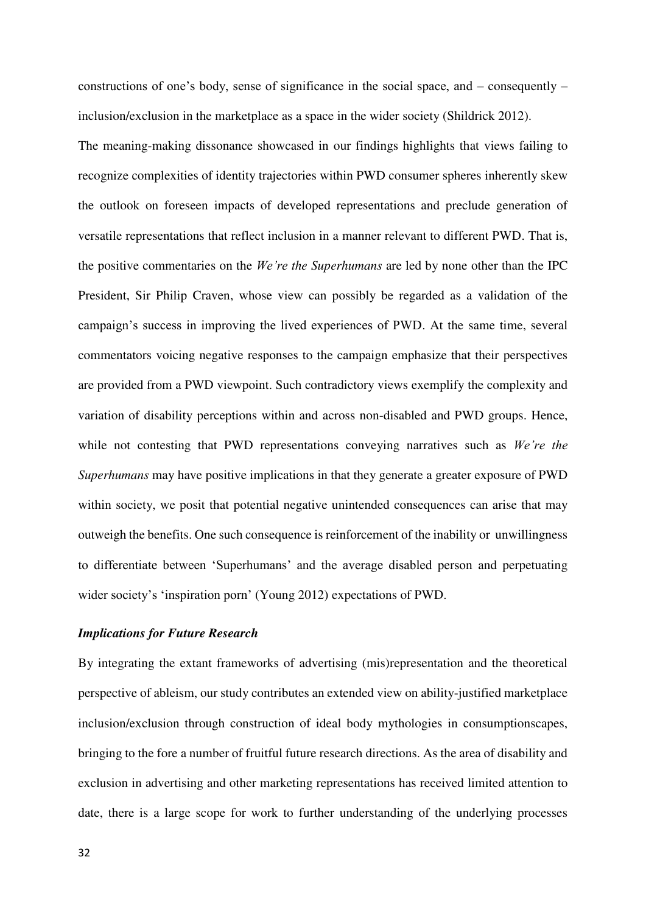constructions of one's body, sense of significance in the social space, and – consequently – inclusion/exclusion in the marketplace as a space in the wider society (Shildrick 2012).

The meaning-making dissonance showcased in our findings highlights that views failing to recognize complexities of identity trajectories within PWD consumer spheres inherently skew the outlook on foreseen impacts of developed representations and preclude generation of versatile representations that reflect inclusion in a manner relevant to different PWD. That is, the positive commentaries on the *We're the Superhumans* are led by none other than the IPC President, Sir Philip Craven, whose view can possibly be regarded as a validation of the campaign's success in improving the lived experiences of PWD. At the same time, several commentators voicing negative responses to the campaign emphasize that their perspectives are provided from a PWD viewpoint. Such contradictory views exemplify the complexity and variation of disability perceptions within and across non-disabled and PWD groups. Hence, while not contesting that PWD representations conveying narratives such as *We're the Superhumans* may have positive implications in that they generate a greater exposure of PWD within society, we posit that potential negative unintended consequences can arise that may outweigh the benefits. One such consequence is reinforcement of the inability or unwillingness to differentiate between 'Superhumans' and the average disabled person and perpetuating wider society's 'inspiration porn' (Young 2012) expectations of PWD.

# *Implications for Future Research*

By integrating the extant frameworks of advertising (mis)representation and the theoretical perspective of ableism, our study contributes an extended view on ability-justified marketplace inclusion/exclusion through construction of ideal body mythologies in consumptionscapes, bringing to the fore a number of fruitful future research directions. As the area of disability and exclusion in advertising and other marketing representations has received limited attention to date, there is a large scope for work to further understanding of the underlying processes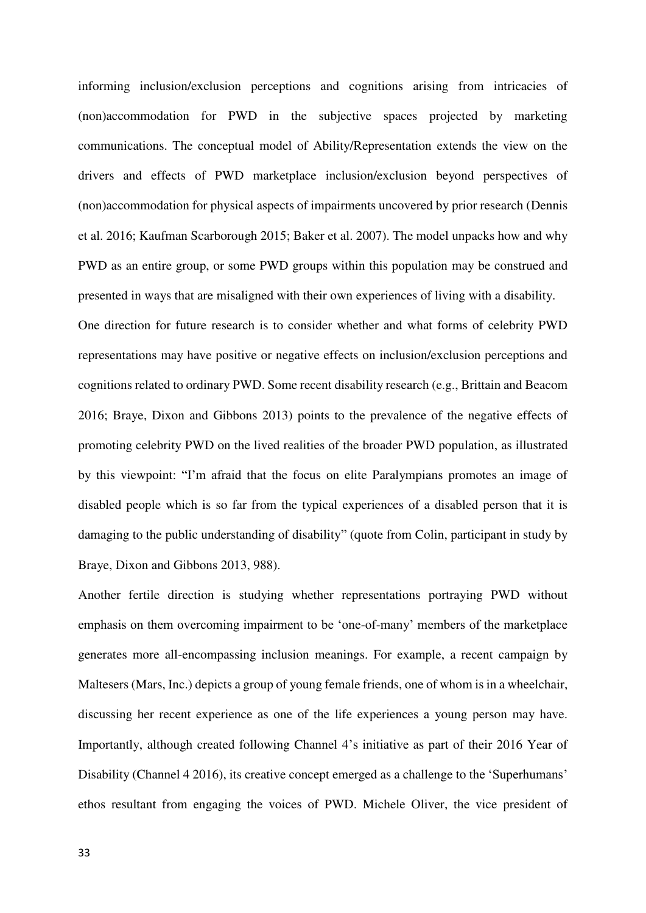informing inclusion/exclusion perceptions and cognitions arising from intricacies of (non)accommodation for PWD in the subjective spaces projected by marketing communications. The conceptual model of Ability/Representation extends the view on the drivers and effects of PWD marketplace inclusion/exclusion beyond perspectives of (non)accommodation for physical aspects of impairments uncovered by prior research (Dennis et al. 2016; Kaufman Scarborough 2015; Baker et al. 2007). The model unpacks how and why PWD as an entire group, or some PWD groups within this population may be construed and presented in ways that are misaligned with their own experiences of living with a disability. One direction for future research is to consider whether and what forms of celebrity PWD representations may have positive or negative effects on inclusion/exclusion perceptions and cognitions related to ordinary PWD. Some recent disability research (e.g., Brittain and Beacom 2016; Braye, Dixon and Gibbons 2013) points to the prevalence of the negative effects of promoting celebrity PWD on the lived realities of the broader PWD population, as illustrated by this viewpoint: "I'm afraid that the focus on elite Paralympians promotes an image of disabled people which is so far from the typical experiences of a disabled person that it is damaging to the public understanding of disability" (quote from Colin, participant in study by Braye, Dixon and Gibbons 2013, 988).

Another fertile direction is studying whether representations portraying PWD without emphasis on them overcoming impairment to be 'one-of-many' members of the marketplace generates more all-encompassing inclusion meanings. For example, a recent campaign by Maltesers (Mars, Inc.) depicts a group of young female friends, one of whom is in a wheelchair, discussing her recent experience as one of the life experiences a young person may have. Importantly, although created following Channel 4's initiative as part of their 2016 Year of Disability (Channel 4 2016), its creative concept emerged as a challenge to the 'Superhumans' ethos resultant from engaging the voices of PWD. Michele Oliver, the vice president of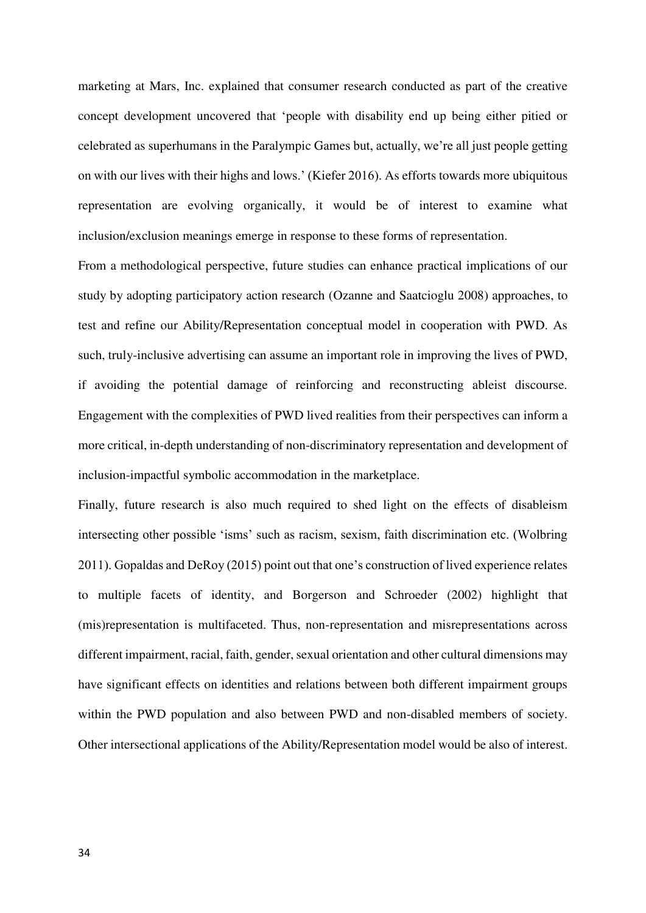marketing at Mars, Inc. explained that consumer research conducted as part of the creative concept development uncovered that 'people with disability end up being either pitied or celebrated as superhumans in the Paralympic Games but, actually, we're all just people getting on with our lives with their highs and lows.' (Kiefer 2016). As efforts towards more ubiquitous representation are evolving organically, it would be of interest to examine what inclusion/exclusion meanings emerge in response to these forms of representation.

From a methodological perspective, future studies can enhance practical implications of our study by adopting participatory action research (Ozanne and Saatcioglu 2008) approaches, to test and refine our Ability/Representation conceptual model in cooperation with PWD. As such, truly-inclusive advertising can assume an important role in improving the lives of PWD, if avoiding the potential damage of reinforcing and reconstructing ableist discourse. Engagement with the complexities of PWD lived realities from their perspectives can inform a more critical, in-depth understanding of non-discriminatory representation and development of inclusion-impactful symbolic accommodation in the marketplace.

Finally, future research is also much required to shed light on the effects of disableism intersecting other possible 'isms' such as racism, sexism, faith discrimination etc. (Wolbring 2011). Gopaldas and DeRoy (2015) point out that one's construction of lived experience relates to multiple facets of identity, and Borgerson and Schroeder (2002) highlight that (mis)representation is multifaceted. Thus, non-representation and misrepresentations across different impairment, racial, faith, gender, sexual orientation and other cultural dimensions may have significant effects on identities and relations between both different impairment groups within the PWD population and also between PWD and non-disabled members of society. Other intersectional applications of the Ability/Representation model would be also of interest.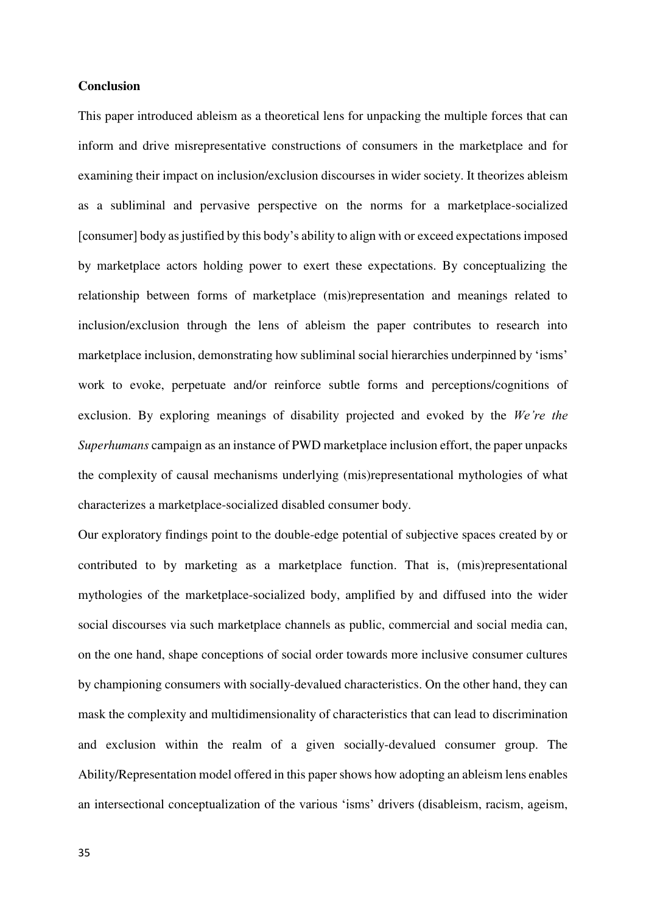# **Conclusion**

This paper introduced ableism as a theoretical lens for unpacking the multiple forces that can inform and drive misrepresentative constructions of consumers in the marketplace and for examining their impact on inclusion/exclusion discourses in wider society. It theorizes ableism as a subliminal and pervasive perspective on the norms for a marketplace-socialized [consumer] body as justified by this body's ability to align with or exceed expectations imposed by marketplace actors holding power to exert these expectations. By conceptualizing the relationship between forms of marketplace (mis)representation and meanings related to inclusion/exclusion through the lens of ableism the paper contributes to research into marketplace inclusion, demonstrating how subliminal social hierarchies underpinned by 'isms' work to evoke, perpetuate and/or reinforce subtle forms and perceptions/cognitions of exclusion. By exploring meanings of disability projected and evoked by the *We're the Superhumans* campaign as an instance of PWD marketplace inclusion effort, the paper unpacks the complexity of causal mechanisms underlying (mis)representational mythologies of what characterizes a marketplace-socialized disabled consumer body.

Our exploratory findings point to the double-edge potential of subjective spaces created by or contributed to by marketing as a marketplace function. That is, (mis)representational mythologies of the marketplace-socialized body, amplified by and diffused into the wider social discourses via such marketplace channels as public, commercial and social media can, on the one hand, shape conceptions of social order towards more inclusive consumer cultures by championing consumers with socially-devalued characteristics. On the other hand, they can mask the complexity and multidimensionality of characteristics that can lead to discrimination and exclusion within the realm of a given socially-devalued consumer group. The Ability/Representation model offered in this paper shows how adopting an ableism lens enables an intersectional conceptualization of the various 'isms' drivers (disableism, racism, ageism,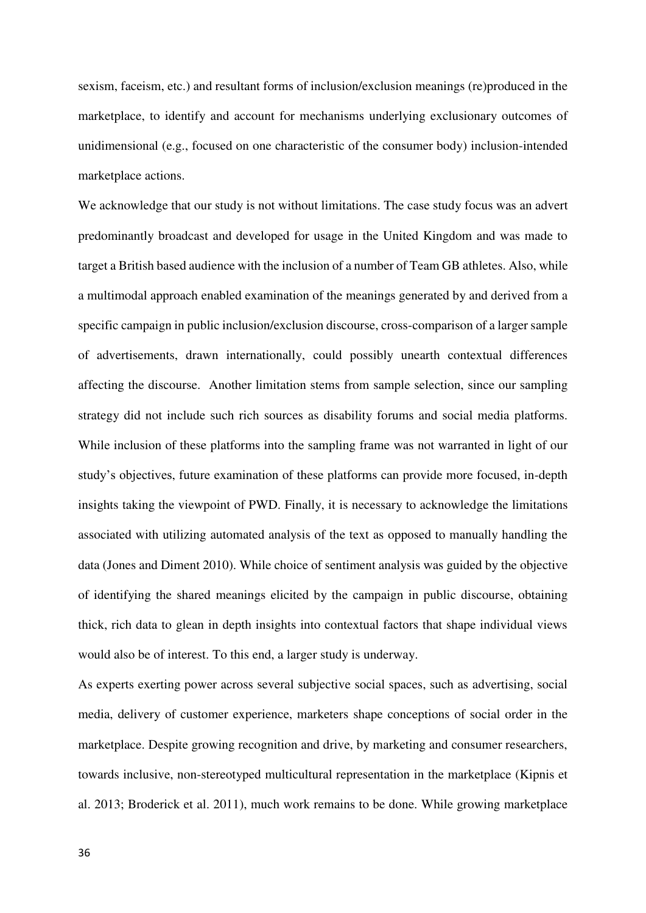sexism, faceism, etc.) and resultant forms of inclusion/exclusion meanings (re)produced in the marketplace, to identify and account for mechanisms underlying exclusionary outcomes of unidimensional (e.g., focused on one characteristic of the consumer body) inclusion-intended marketplace actions.

We acknowledge that our study is not without limitations. The case study focus was an advert predominantly broadcast and developed for usage in the United Kingdom and was made to target a British based audience with the inclusion of a number of Team GB athletes. Also, while a multimodal approach enabled examination of the meanings generated by and derived from a specific campaign in public inclusion/exclusion discourse, cross-comparison of a larger sample of advertisements, drawn internationally, could possibly unearth contextual differences affecting the discourse. Another limitation stems from sample selection, since our sampling strategy did not include such rich sources as disability forums and social media platforms. While inclusion of these platforms into the sampling frame was not warranted in light of our study's objectives, future examination of these platforms can provide more focused, in-depth insights taking the viewpoint of PWD. Finally, it is necessary to acknowledge the limitations associated with utilizing automated analysis of the text as opposed to manually handling the data (Jones and Diment 2010). While choice of sentiment analysis was guided by the objective of identifying the shared meanings elicited by the campaign in public discourse, obtaining thick, rich data to glean in depth insights into contextual factors that shape individual views would also be of interest. To this end, a larger study is underway.

As experts exerting power across several subjective social spaces, such as advertising, social media, delivery of customer experience, marketers shape conceptions of social order in the marketplace. Despite growing recognition and drive, by marketing and consumer researchers, towards inclusive, non-stereotyped multicultural representation in the marketplace (Kipnis et al. 2013; Broderick et al. 2011), much work remains to be done. While growing marketplace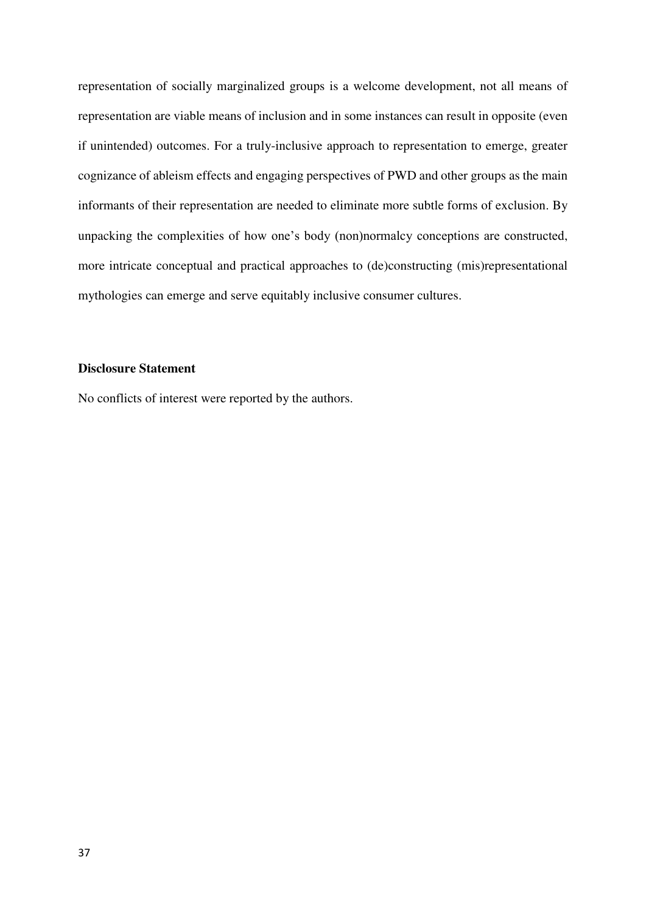representation of socially marginalized groups is a welcome development, not all means of representation are viable means of inclusion and in some instances can result in opposite (even if unintended) outcomes. For a truly-inclusive approach to representation to emerge, greater cognizance of ableism effects and engaging perspectives of PWD and other groups as the main informants of their representation are needed to eliminate more subtle forms of exclusion. By unpacking the complexities of how one's body (non)normalcy conceptions are constructed, more intricate conceptual and practical approaches to (de)constructing (mis)representational mythologies can emerge and serve equitably inclusive consumer cultures.

# **Disclosure Statement**

No conflicts of interest were reported by the authors.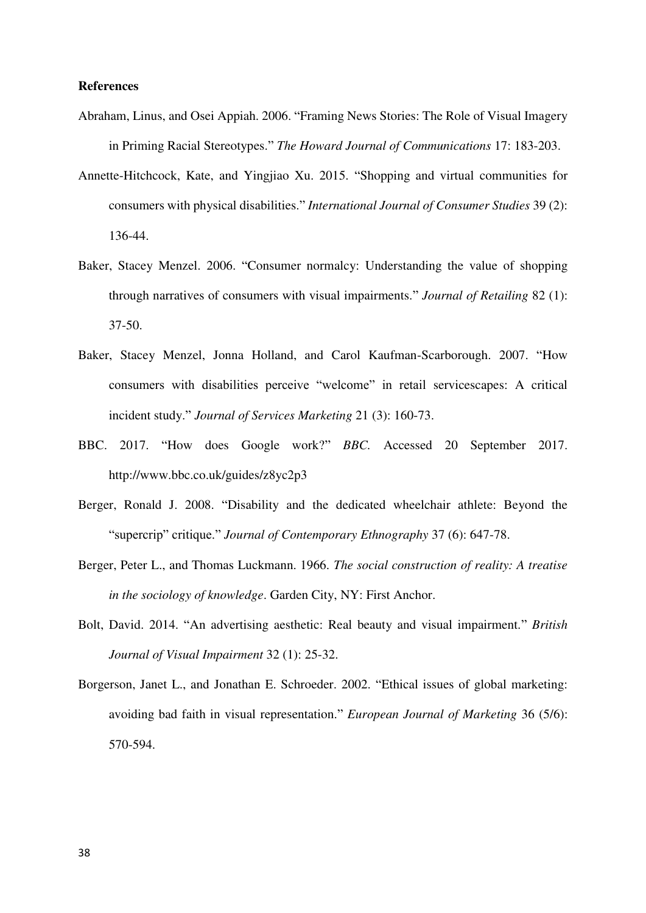# **References**

- Abraham, Linus, and Osei Appiah. 2006. "Framing News Stories: The Role of Visual Imagery in Priming Racial Stereotypes." *The Howard Journal of Communications* 17: 183-203.
- Annette-Hitchcock, Kate, and Yingjiao Xu. 2015. "Shopping and virtual communities for consumers with physical disabilities." *International Journal of Consumer Studies* 39 (2): 136-44.
- Baker, Stacey Menzel. 2006. "Consumer normalcy: Understanding the value of shopping through narratives of consumers with visual impairments." *Journal of Retailing* 82 (1): 37-50.
- Baker, Stacey Menzel, Jonna Holland, and Carol Kaufman-Scarborough. 2007. "How consumers with disabilities perceive "welcome" in retail servicescapes: A critical incident study." *Journal of Services Marketing* 21 (3): 160-73.
- BBC. 2017. "How does Google work?" *BBC.* Accessed 20 September 2017. http://www.bbc.co.uk/guides/z8yc2p3
- Berger, Ronald J. 2008. "Disability and the dedicated wheelchair athlete: Beyond the "supercrip" critique." *Journal of Contemporary Ethnography* 37 (6): 647-78.
- Berger, Peter L., and Thomas Luckmann. 1966. *The social construction of reality: A treatise in the sociology of knowledge*. Garden City, NY: First Anchor.
- Bolt, David. 2014. "An advertising aesthetic: Real beauty and visual impairment." *British Journal of Visual Impairment* 32 (1): 25-32.
- Borgerson, Janet L., and Jonathan E. Schroeder. 2002. "Ethical issues of global marketing: avoiding bad faith in visual representation." *European Journal of Marketing* 36 (5/6): 570-594.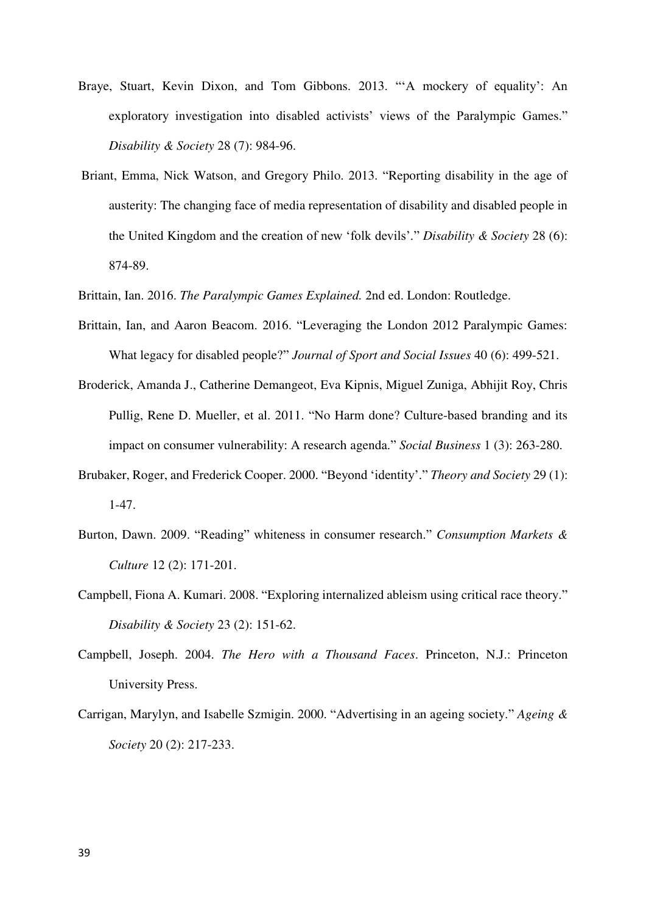- Braye, Stuart, Kevin Dixon, and Tom Gibbons. 2013. "'A mockery of equality': An exploratory investigation into disabled activists' views of the Paralympic Games." *Disability & Society* 28 (7): 984-96.
- Briant, Emma, Nick Watson, and Gregory Philo. 2013. "Reporting disability in the age of austerity: The changing face of media representation of disability and disabled people in the United Kingdom and the creation of new 'folk devils'." *Disability & Society* 28 (6): 874-89.
- Brittain, Ian. 2016. *The Paralympic Games Explained.* 2nd ed. London: Routledge.
- Brittain, Ian, and Aaron Beacom. 2016. "Leveraging the London 2012 Paralympic Games: What legacy for disabled people?" *Journal of Sport and Social Issues* 40 (6): 499-521.
- Broderick, Amanda J., Catherine Demangeot, Eva Kipnis, Miguel Zuniga, Abhijit Roy, Chris Pullig, Rene D. Mueller, et al. 2011. "No Harm done? Culture-based branding and its impact on consumer vulnerability: A research agenda." *Social Business* 1 (3): 263-280.
- Brubaker, Roger, and Frederick Cooper. 2000. "Beyond 'identity'." *Theory and Society* 29 (1): 1-47.
- Burton, Dawn. 2009. "Reading" whiteness in consumer research." *Consumption Markets & Culture* 12 (2): 171-201.
- Campbell, Fiona A. Kumari. 2008. "Exploring internalized ableism using critical race theory." *Disability & Society* 23 (2): 151-62.
- Campbell, Joseph. 2004. *The Hero with a Thousand Faces*. Princeton, N.J.: Princeton University Press.
- Carrigan, Marylyn, and Isabelle Szmigin. 2000. "Advertising in an ageing society." *Ageing & Society* 20 (2): 217-233.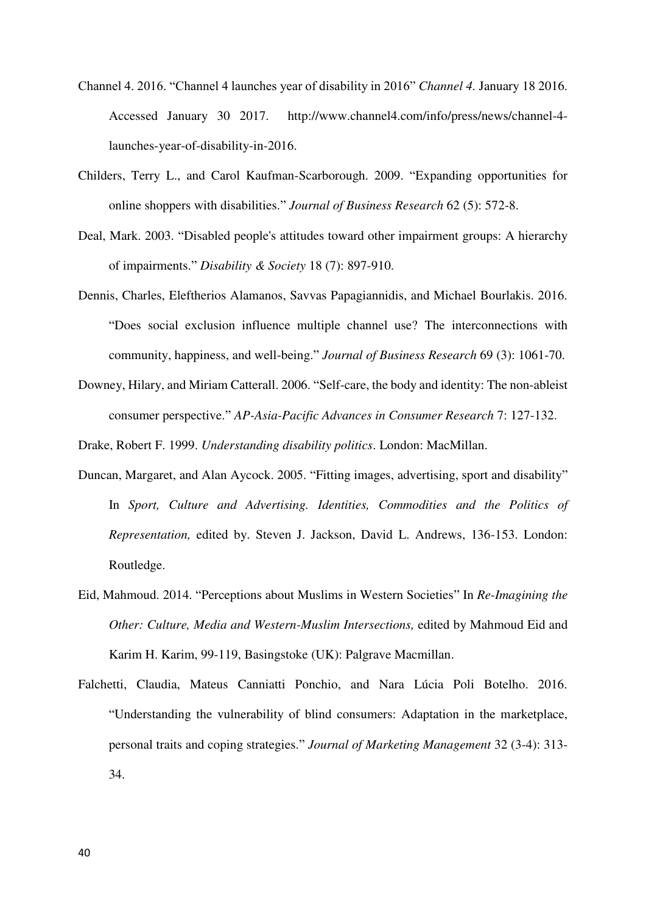- Channel 4. 2016. "Channel 4 launches year of disability in 2016" *Channel 4.* January 18 2016. Accessed January 30 2017. http://www.channel4.com/info/press/news/channel-4 launches-year-of-disability-in-2016.
- Childers, Terry L., and Carol Kaufman-Scarborough. 2009. "Expanding opportunities for online shoppers with disabilities." *Journal of Business Research* 62 (5): 572-8.
- Deal, Mark. 2003. "Disabled people's attitudes toward other impairment groups: A hierarchy of impairments." *Disability & Society* 18 (7): 897-910.
- Dennis, Charles, Eleftherios Alamanos, Savvas Papagiannidis, and Michael Bourlakis. 2016. "Does social exclusion influence multiple channel use? The interconnections with community, happiness, and well-being." *Journal of Business Research* 69 (3): 1061-70.
- Downey, Hilary, and Miriam Catterall. 2006. "Self-care, the body and identity: The non-ableist consumer perspective." *AP-Asia-Pacific Advances in Consumer Research* 7: 127-132.

Drake, Robert F. 1999. *Understanding disability politics*. London: MacMillan.

- Duncan, Margaret, and Alan Aycock. 2005. "Fitting images, advertising, sport and disability" In *Sport, Culture and Advertising. Identities, Commodities and the Politics of Representation,* edited by. Steven J. Jackson, David L. Andrews, 136-153. London: Routledge.
- Eid, Mahmoud. 2014. "Perceptions about Muslims in Western Societies" In *Re-Imagining the Other: Culture, Media and Western-Muslim Intersections,* edited by Mahmoud Eid and Karim H. Karim, 99-119, Basingstoke (UK): Palgrave Macmillan.
- Falchetti, Claudia, Mateus Canniatti Ponchio, and Nara Lúcia Poli Botelho. 2016. "Understanding the vulnerability of blind consumers: Adaptation in the marketplace, personal traits and coping strategies." *Journal of Marketing Management* 32 (3-4): 313- 34.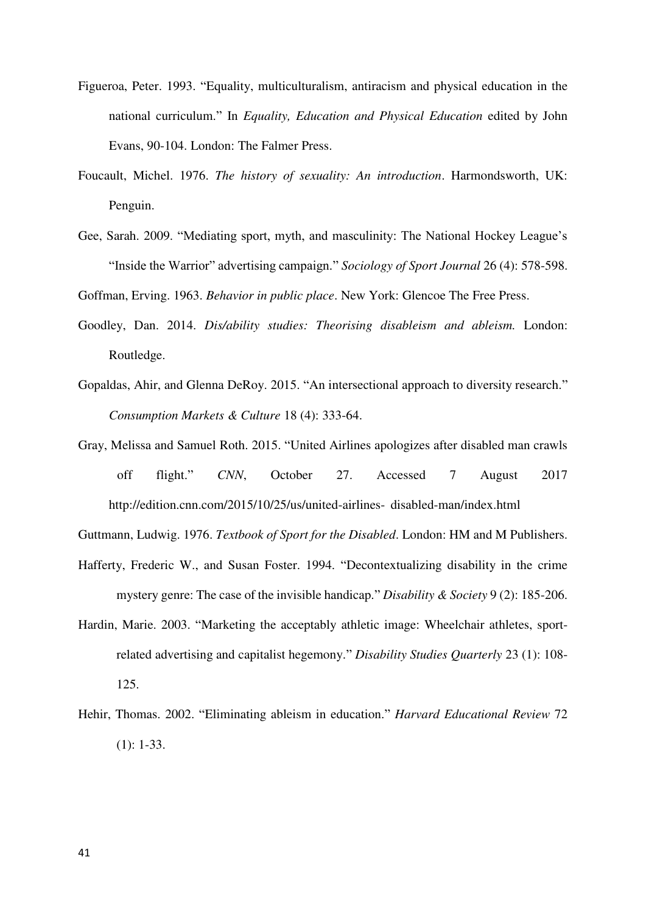- Figueroa, Peter. 1993. "Equality, multiculturalism, antiracism and physical education in the national curriculum." In *Equality, Education and Physical Education* edited by John Evans, 90-104. London: The Falmer Press.
- Foucault, Michel. 1976. *The history of sexuality: An introduction*. Harmondsworth, UK: Penguin.
- Gee, Sarah. 2009. "Mediating sport, myth, and masculinity: The National Hockey League's "Inside the Warrior" advertising campaign." *Sociology of Sport Journal* 26 (4): 578-598.

Goffman, Erving. 1963. *Behavior in public place*. New York: Glencoe The Free Press.

- Goodley, Dan. 2014. *Dis/ability studies: Theorising disableism and ableism.* London: Routledge.
- Gopaldas, Ahir, and Glenna DeRoy. 2015. "An intersectional approach to diversity research." *Consumption Markets & Culture* 18 (4): 333-64.
- Gray, Melissa and Samuel Roth. 2015. "United Airlines apologizes after disabled man crawls off flight." *CNN*, October 27. Accessed 7 August 2017 http://edition.cnn.com/2015/10/25/us/united-airlines- disabled-man/index.html

Guttmann, Ludwig. 1976. *Textbook of Sport for the Disabled*. London: HM and M Publishers.

- Hafferty, Frederic W., and Susan Foster. 1994. "Decontextualizing disability in the crime mystery genre: The case of the invisible handicap." *Disability & Society* 9 (2): 185-206.
- Hardin, Marie. 2003. "Marketing the acceptably athletic image: Wheelchair athletes, sportrelated advertising and capitalist hegemony." *Disability Studies Quarterly* 23 (1): 108- 125.
- Hehir, Thomas. 2002. "Eliminating ableism in education." *Harvard Educational Review* 72  $(1): 1-33.$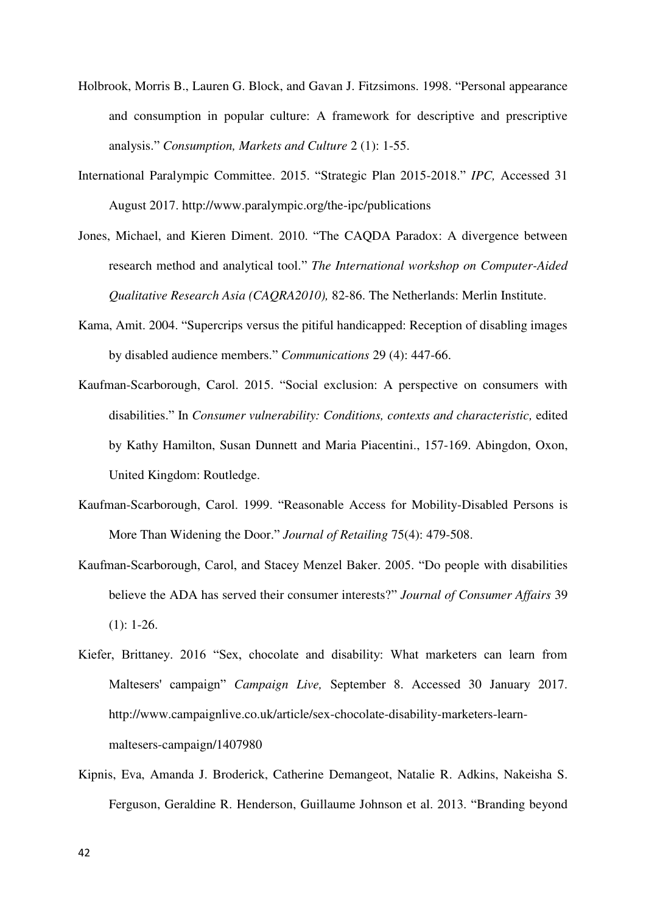- Holbrook, Morris B., Lauren G. Block, and Gavan J. Fitzsimons. 1998. "Personal appearance and consumption in popular culture: A framework for descriptive and prescriptive analysis." *Consumption, Markets and Culture* 2 (1): 1-55.
- International Paralympic Committee. 2015. "Strategic Plan 2015-2018." *IPC,* Accessed 31 August 2017. http://www.paralympic.org/the-ipc/publications
- Jones, Michael, and Kieren Diment. 2010. "The CAQDA Paradox: A divergence between research method and analytical tool." *The International workshop on Computer-Aided Qualitative Research Asia (CAQRA2010),* 82-86. The Netherlands: Merlin Institute.
- Kama, Amit. 2004. "Supercrips versus the pitiful handicapped: Reception of disabling images by disabled audience members." *Communications* 29 (4): 447-66.
- Kaufman-Scarborough, Carol. 2015. "Social exclusion: A perspective on consumers with disabilities." In *Consumer vulnerability: Conditions, contexts and characteristic,* edited by Kathy Hamilton, Susan Dunnett and Maria Piacentini., 157-169. Abingdon, Oxon, United Kingdom: Routledge.
- Kaufman-Scarborough, Carol. 1999. "Reasonable Access for Mobility-Disabled Persons is More Than Widening the Door." *Journal of Retailing* 75(4): 479-508.
- Kaufman‐Scarborough, Carol, and Stacey Menzel Baker. 2005. "Do people with disabilities believe the ADA has served their consumer interests?" *Journal of Consumer Affairs* 39  $(1): 1-26.$
- Kiefer, Brittaney. 2016 "Sex, chocolate and disability: What marketers can learn from Maltesers' campaign" *Campaign Live,* September 8. Accessed 30 January 2017. http://www.campaignlive.co.uk/article/sex-chocolate-disability-marketers-learnmaltesers-campaign/1407980
- Kipnis, Eva, Amanda J. Broderick, Catherine Demangeot, Natalie R. Adkins, Nakeisha S. Ferguson, Geraldine R. Henderson, Guillaume Johnson et al. 2013. "Branding beyond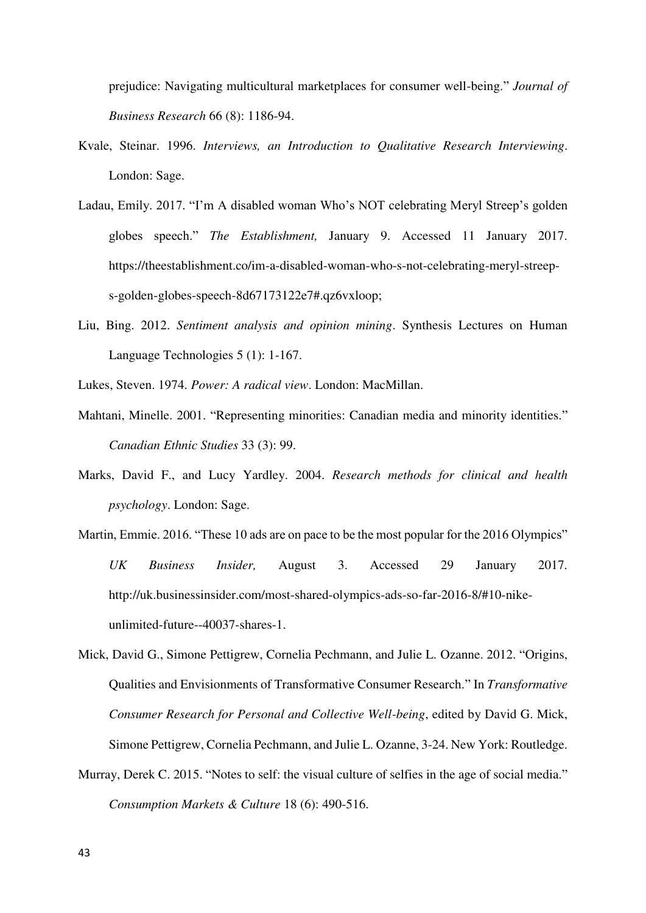prejudice: Navigating multicultural marketplaces for consumer well-being." *Journal of Business Research* 66 (8): 1186-94.

- Kvale, Steinar. 1996. *Interviews, an Introduction to Qualitative Research Interviewing*. London: Sage.
- Ladau, Emily. 2017. "I'm A disabled woman Who's NOT celebrating Meryl Streep's golden globes speech." *The Establishment,* January 9. Accessed 11 January 2017. https://theestablishment.co/im-a-disabled-woman-who-s-not-celebrating-meryl-streeps-golden-globes-speech-8d67173122e7#.qz6vxloop;
- Liu, Bing. 2012. *Sentiment analysis and opinion mining*. Synthesis Lectures on Human Language Technologies 5 (1): 1-167.
- Lukes, Steven. 1974. *Power: A radical view*. London: MacMillan.
- Mahtani, Minelle. 2001. "Representing minorities: Canadian media and minority identities." *Canadian Ethnic Studies* 33 (3): 99.
- Marks, David F., and Lucy Yardley. 2004. *Research methods for clinical and health psychology*. London: Sage.
- Martin, Emmie. 2016. "These 10 ads are on pace to be the most popular for the 2016 Olympics" *UK Business Insider,* August 3. Accessed 29 January 2017. http://uk.businessinsider.com/most-shared-olympics-ads-so-far-2016-8/#10-nikeunlimited-future--40037-shares-1.
- Mick, David G., Simone Pettigrew, Cornelia Pechmann, and Julie L. Ozanne. 2012. "Origins, Qualities and Envisionments of Transformative Consumer Research." In *Transformative Consumer Research for Personal and Collective Well-being*, edited by David G. Mick, Simone Pettigrew, Cornelia Pechmann, and Julie L. Ozanne, 3-24. New York: Routledge.
- Murray, Derek C. 2015. "Notes to self: the visual culture of selfies in the age of social media." *Consumption Markets & Culture* 18 (6): 490-516.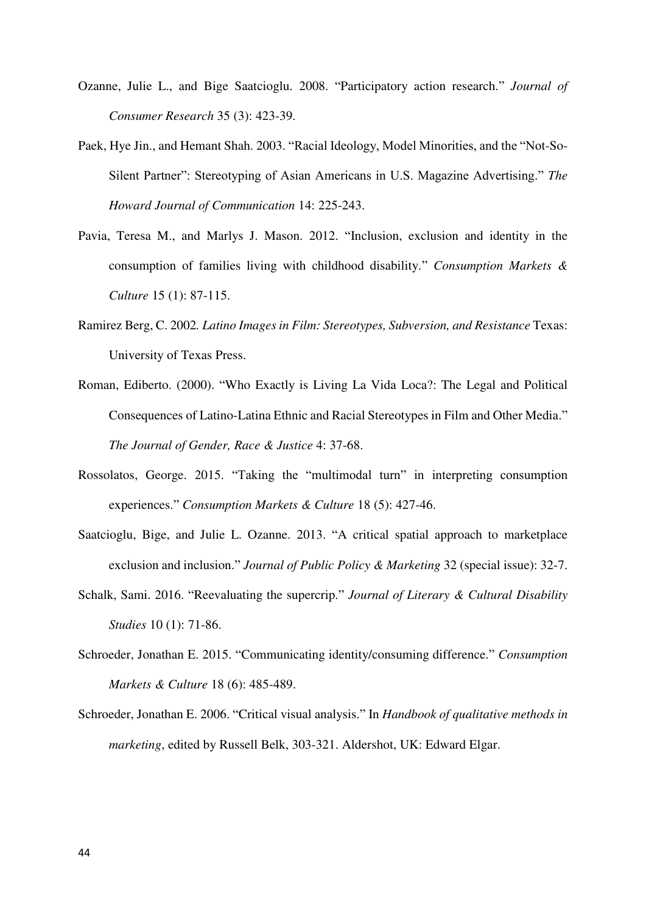- Ozanne, Julie L., and Bige Saatcioglu. 2008. "Participatory action research." *Journal of Consumer Research* 35 (3): 423-39.
- Paek, Hye Jin., and Hemant Shah. 2003. "Racial Ideology, Model Minorities, and the "Not-So-Silent Partner": Stereotyping of Asian Americans in U.S. Magazine Advertising." *The Howard Journal of Communication* 14: 225-243.
- Pavia, Teresa M., and Marlys J. Mason. 2012. "Inclusion, exclusion and identity in the consumption of families living with childhood disability." *Consumption Markets & Culture* 15 (1): 87-115.
- Ramirez Berg, C. 2002*. Latino Images in Film: Stereotypes, Subversion, and Resistance* Texas: University of Texas Press.
- Roman, Ediberto. (2000). "Who Exactly is Living La Vida Loca?: The Legal and Political Consequences of Latino-Latina Ethnic and Racial Stereotypes in Film and Other Media." *The Journal of Gender, Race & Justice* 4: 37-68.
- Rossolatos, George. 2015. "Taking the "multimodal turn" in interpreting consumption experiences." *Consumption Markets & Culture* 18 (5): 427-46.
- Saatcioglu, Bige, and Julie L. Ozanne. 2013. "A critical spatial approach to marketplace exclusion and inclusion." *Journal of Public Policy & Marketing* 32 (special issue): 32-7.
- Schalk, Sami. 2016. "Reevaluating the supercrip." *Journal of Literary & Cultural Disability Studies* 10 (1): 71-86.
- Schroeder, Jonathan E. 2015. "Communicating identity/consuming difference." *Consumption Markets & Culture* 18 (6): 485-489.
- Schroeder, Jonathan E. 2006. "Critical visual analysis." In *Handbook of qualitative methods in marketing*, edited by Russell Belk, 303-321. Aldershot, UK: Edward Elgar.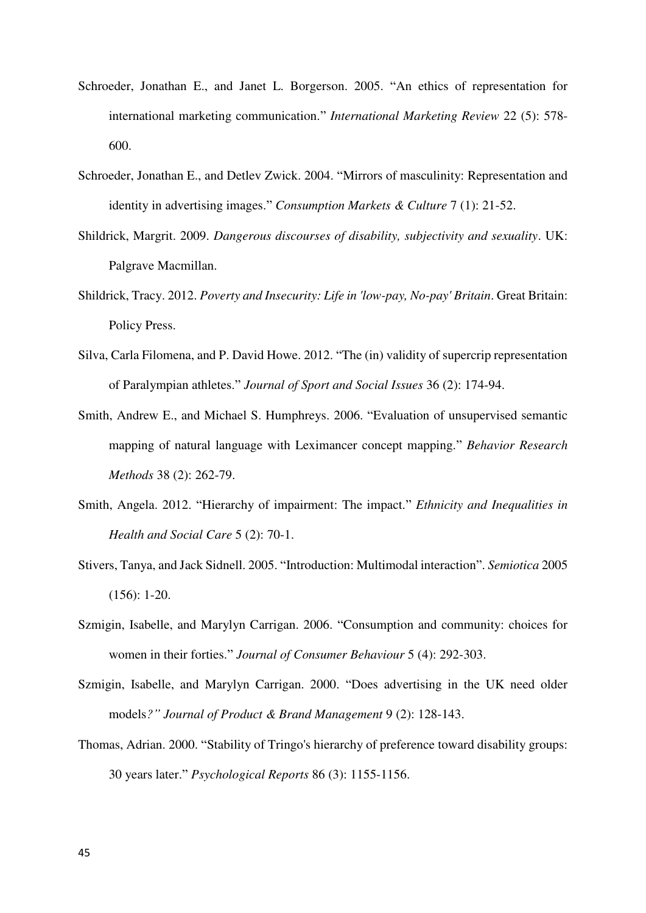- Schroeder, Jonathan E., and Janet L. Borgerson. 2005. "An ethics of representation for international marketing communication." *International Marketing Review* 22 (5): 578- 600.
- Schroeder, Jonathan E., and Detlev Zwick. 2004. "Mirrors of masculinity: Representation and identity in advertising images." *Consumption Markets & Culture* 7 (1): 21-52.
- Shildrick, Margrit. 2009. *Dangerous discourses of disability, subjectivity and sexuality*. UK: Palgrave Macmillan.
- Shildrick, Tracy. 2012. *Poverty and Insecurity: Life in 'low-pay, No-pay' Britain*. Great Britain: Policy Press.
- Silva, Carla Filomena, and P. David Howe. 2012. "The (in) validity of supercrip representation of Paralympian athletes." *Journal of Sport and Social Issues* 36 (2): 174-94.
- Smith, Andrew E., and Michael S. Humphreys. 2006. "Evaluation of unsupervised semantic mapping of natural language with Leximancer concept mapping." *Behavior Research Methods* 38 (2): 262-79.
- Smith, Angela. 2012. "Hierarchy of impairment: The impact." *Ethnicity and Inequalities in Health and Social Care* 5 (2): 70-1.
- Stivers, Tanya, and Jack Sidnell. 2005. "Introduction: Multimodal interaction". *Semiotica* 2005 (156): 1-20.
- Szmigin, Isabelle, and Marylyn Carrigan. 2006. "Consumption and community: choices for women in their forties." *Journal of Consumer Behaviour* 5 (4): 292-303.
- Szmigin, Isabelle, and Marylyn Carrigan. 2000. "Does advertising in the UK need older models*?" Journal of Product & Brand Management* 9 (2): 128-143.
- Thomas, Adrian. 2000. "Stability of Tringo's hierarchy of preference toward disability groups: 30 years later." *Psychological Reports* 86 (3): 1155-1156.